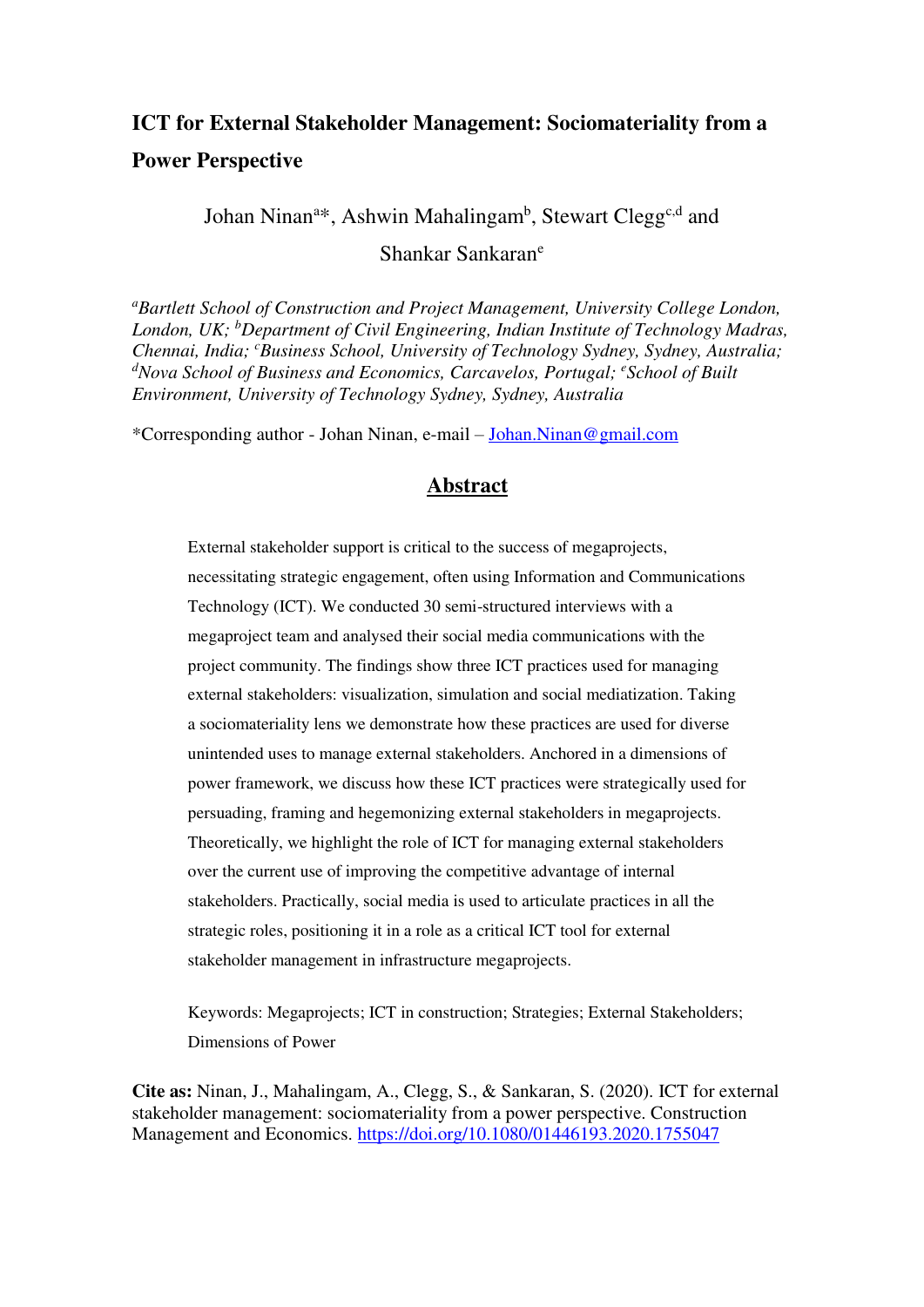# **ICT for External Stakeholder Management: Sociomateriality from a Power Perspective**

Johan Ninan<sup>a\*</sup>, Ashwin Mahalingam<sup>b</sup>, Stewart Clegg<sup>c,d</sup> and Shankar Sankaran<sup>e</sup>

*<sup>a</sup>Bartlett School of Construction and Project Management, University College London, London, UK; <sup>b</sup>Department of Civil Engineering, Indian Institute of Technology Madras, Chennai, India; <sup>c</sup>Business School, University of Technology Sydney, Sydney, Australia;*  <sup>d</sup>Nova School of Business and Economics, Carcavelos, Portugal; <sup>e</sup>School of Built *Environment, University of Technology Sydney, Sydney, Australia* 

\*Corresponding author - Johan Ninan, e-mail – [Johan.Ninan@gmail.com](mailto:Johan.Ninan@gmail.com) 

# **Abstract**

External stakeholder support is critical to the success of megaprojects, necessitating strategic engagement, often using Information and Communications Technology (ICT). We conducted 30 semi-structured interviews with a megaproject team and analysed their social media communications with the project community. The findings show three ICT practices used for managing external stakeholders: visualization, simulation and social mediatization. Taking a sociomateriality lens we demonstrate how these practices are used for diverse unintended uses to manage external stakeholders. Anchored in a dimensions of power framework, we discuss how these ICT practices were strategically used for persuading, framing and hegemonizing external stakeholders in megaprojects. Theoretically, we highlight the role of ICT for managing external stakeholders over the current use of improving the competitive advantage of internal stakeholders. Practically, social media is used to articulate practices in all the strategic roles, positioning it in a role as a critical ICT tool for external stakeholder management in infrastructure megaprojects.

Keywords: Megaprojects; ICT in construction; Strategies; External Stakeholders; Dimensions of Power

**Cite as:** Ninan, J., Mahalingam, A., Clegg, S., & Sankaran, S. (2020). ICT for external stakeholder management: sociomateriality from a power perspective. Construction Management and Economics.<https://doi.org/10.1080/01446193.2020.1755047>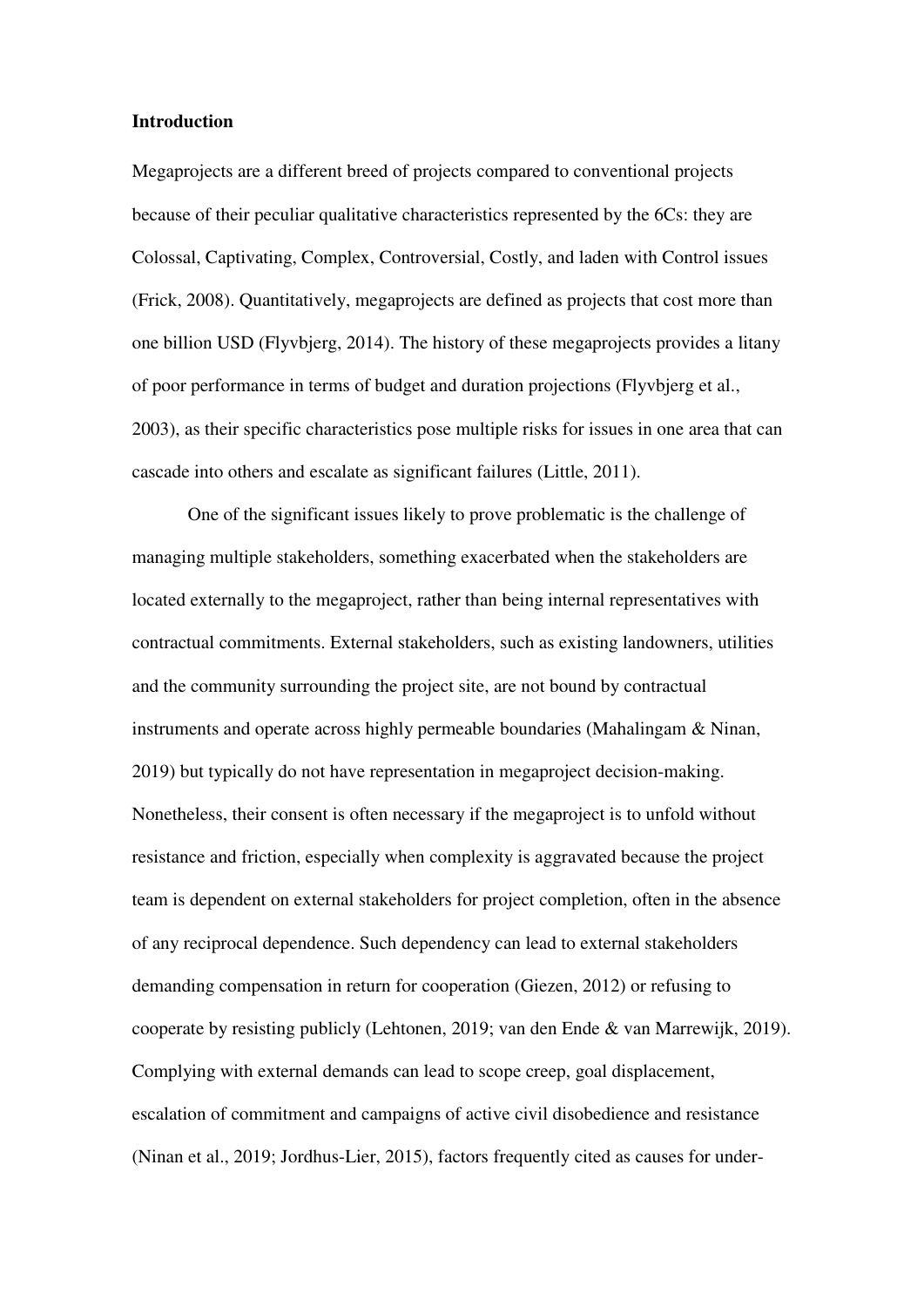#### **Introduction**

Megaprojects are a different breed of projects compared to conventional projects because of their peculiar qualitative characteristics represented by the 6Cs: they are Colossal, Captivating, Complex, Controversial, Costly, and laden with Control issues (Frick, 2008). Quantitatively, megaprojects are defined as projects that cost more than one billion USD (Flyvbjerg, 2014). The history of these megaprojects provides a litany of poor performance in terms of budget and duration projections (Flyvbjerg et al., 2003), as their specific characteristics pose multiple risks for issues in one area that can cascade into others and escalate as significant failures (Little, 2011).

One of the significant issues likely to prove problematic is the challenge of managing multiple stakeholders, something exacerbated when the stakeholders are located externally to the megaproject, rather than being internal representatives with contractual commitments. External stakeholders, such as existing landowners, utilities and the community surrounding the project site, are not bound by contractual instruments and operate across highly permeable boundaries (Mahalingam & Ninan, 2019) but typically do not have representation in megaproject decision-making. Nonetheless, their consent is often necessary if the megaproject is to unfold without resistance and friction, especially when complexity is aggravated because the project team is dependent on external stakeholders for project completion, often in the absence of any reciprocal dependence. Such dependency can lead to external stakeholders demanding compensation in return for cooperation (Giezen, 2012) or refusing to cooperate by resisting publicly (Lehtonen, 2019; van den Ende & van Marrewijk, 2019). Complying with external demands can lead to scope creep, goal displacement, escalation of commitment and campaigns of active civil disobedience and resistance (Ninan et al., 2019; Jordhus-Lier, 2015), factors frequently cited as causes for under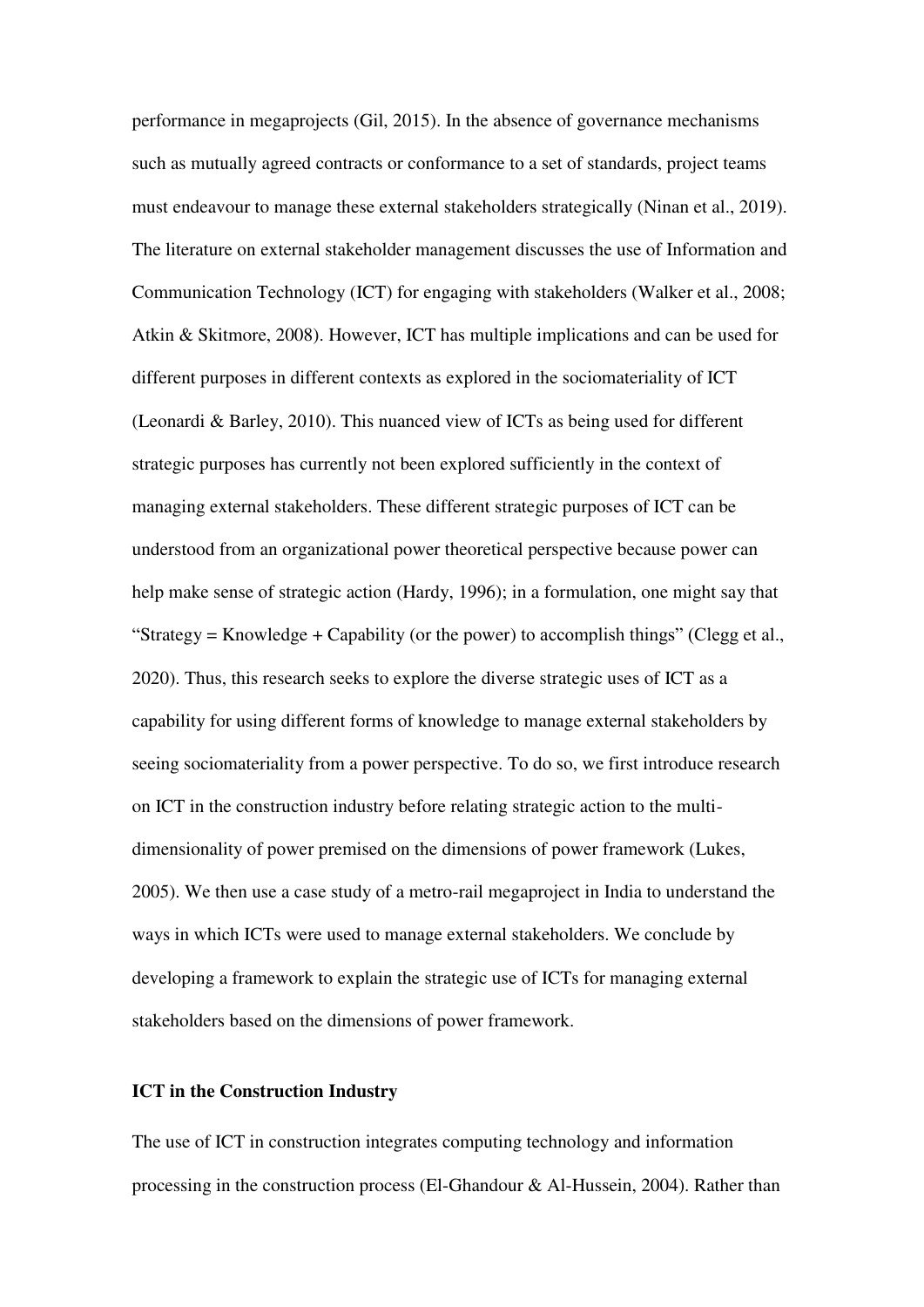performance in megaprojects (Gil, 2015). In the absence of governance mechanisms such as mutually agreed contracts or conformance to a set of standards, project teams must endeavour to manage these external stakeholders strategically (Ninan et al., 2019). The literature on external stakeholder management discusses the use of Information and Communication Technology (ICT) for engaging with stakeholders (Walker et al., 2008; Atkin & Skitmore, 2008). However, ICT has multiple implications and can be used for different purposes in different contexts as explored in the sociomateriality of ICT (Leonardi & Barley, 2010). This nuanced view of ICTs as being used for different strategic purposes has currently not been explored sufficiently in the context of managing external stakeholders. These different strategic purposes of ICT can be understood from an organizational power theoretical perspective because power can help make sense of strategic action (Hardy, 1996); in a formulation, one might say that "Strategy = Knowledge + Capability (or the power) to accomplish things" (Clegg et al., 2020). Thus, this research seeks to explore the diverse strategic uses of ICT as a capability for using different forms of knowledge to manage external stakeholders by seeing sociomateriality from a power perspective. To do so, we first introduce research on ICT in the construction industry before relating strategic action to the multidimensionality of power premised on the dimensions of power framework (Lukes, 2005). We then use a case study of a metro-rail megaproject in India to understand the ways in which ICTs were used to manage external stakeholders. We conclude by developing a framework to explain the strategic use of ICTs for managing external stakeholders based on the dimensions of power framework.

#### **ICT in the Construction Industry**

The use of ICT in construction integrates computing technology and information processing in the construction process (El-Ghandour & Al-Hussein, 2004). Rather than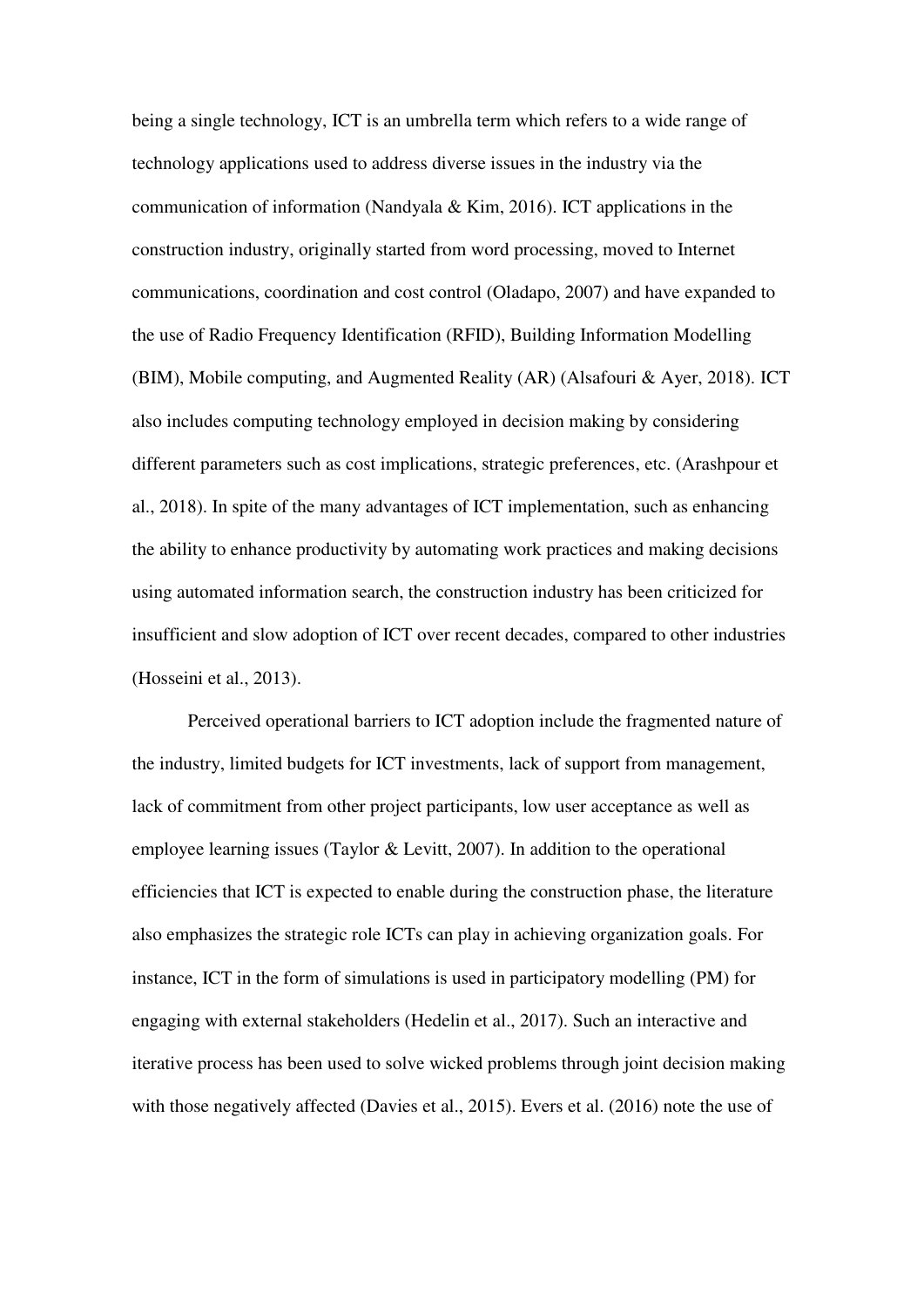being a single technology, ICT is an umbrella term which refers to a wide range of technology applications used to address diverse issues in the industry via the communication of information (Nandyala & Kim, 2016). ICT applications in the construction industry, originally started from word processing, moved to Internet communications, coordination and cost control (Oladapo, 2007) and have expanded to the use of Radio Frequency Identification (RFID), Building Information Modelling (BIM), Mobile computing, and Augmented Reality (AR) (Alsafouri & Ayer, 2018). ICT also includes computing technology employed in decision making by considering different parameters such as cost implications, strategic preferences, etc. (Arashpour et al., 2018). In spite of the many advantages of ICT implementation, such as enhancing the ability to enhance productivity by automating work practices and making decisions using automated information search, the construction industry has been criticized for insufficient and slow adoption of ICT over recent decades, compared to other industries (Hosseini et al., 2013).

Perceived operational barriers to ICT adoption include the fragmented nature of the industry, limited budgets for ICT investments, lack of support from management, lack of commitment from other project participants, low user acceptance as well as employee learning issues (Taylor & Levitt, 2007). In addition to the operational efficiencies that ICT is expected to enable during the construction phase, the literature also emphasizes the strategic role ICTs can play in achieving organization goals. For instance, ICT in the form of simulations is used in participatory modelling (PM) for engaging with external stakeholders (Hedelin et al., 2017). Such an interactive and iterative process has been used to solve wicked problems through joint decision making with those negatively affected (Davies et al., 2015). Evers et al. (2016) note the use of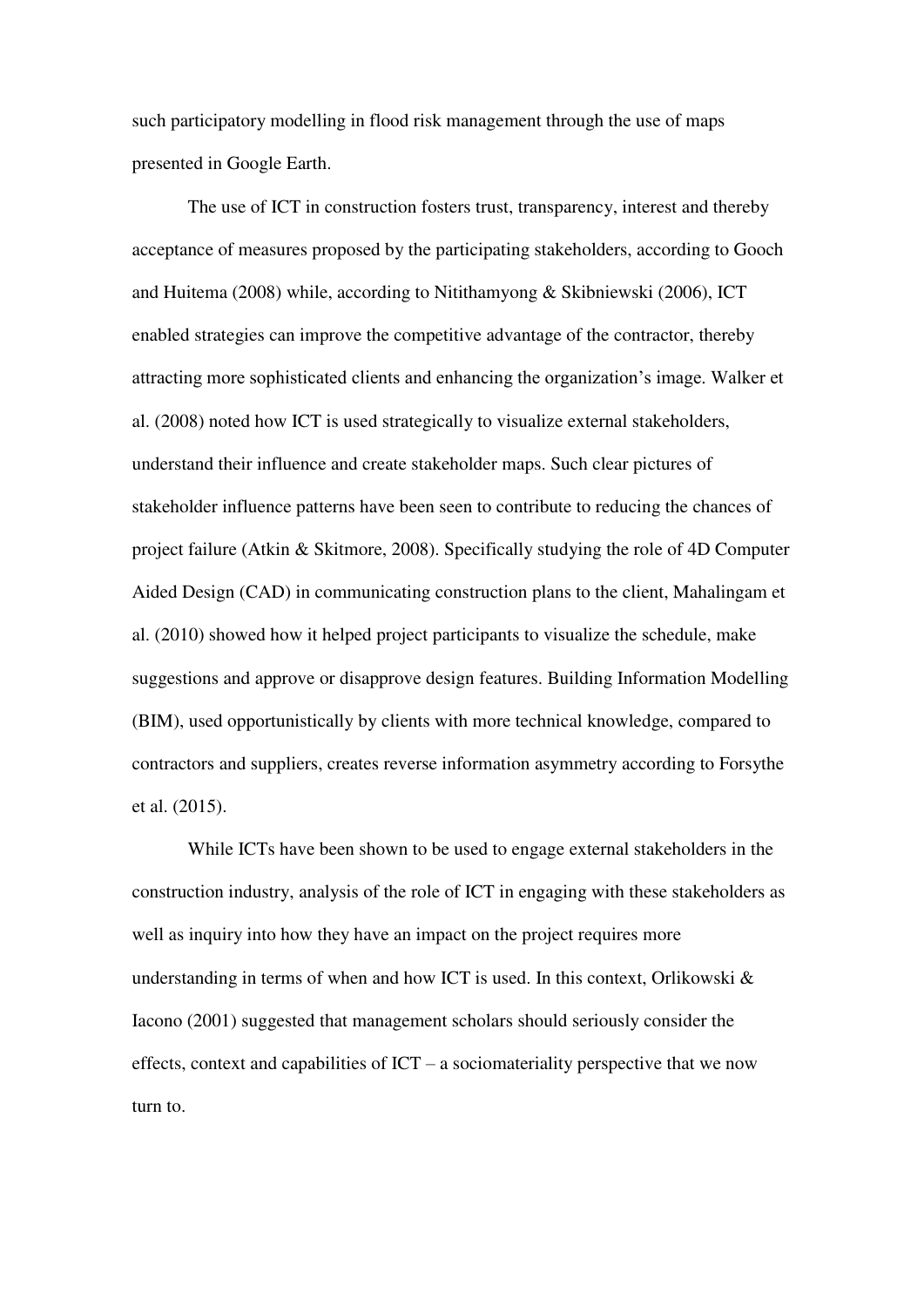such participatory modelling in flood risk management through the use of maps presented in Google Earth.

The use of ICT in construction fosters trust, transparency, interest and thereby acceptance of measures proposed by the participating stakeholders, according to Gooch and Huitema (2008) while, according to Nitithamyong & Skibniewski (2006), ICT enabled strategies can improve the competitive advantage of the contractor, thereby attracting more sophisticated clients and enhancing the organization's image. Walker et al. (2008) noted how ICT is used strategically to visualize external stakeholders, understand their influence and create stakeholder maps. Such clear pictures of stakeholder influence patterns have been seen to contribute to reducing the chances of project failure (Atkin & Skitmore, 2008). Specifically studying the role of 4D Computer Aided Design (CAD) in communicating construction plans to the client, Mahalingam et al. (2010) showed how it helped project participants to visualize the schedule, make suggestions and approve or disapprove design features. Building Information Modelling (BIM), used opportunistically by clients with more technical knowledge, compared to contractors and suppliers, creates reverse information asymmetry according to Forsythe et al. (2015).

While ICTs have been shown to be used to engage external stakeholders in the construction industry, analysis of the role of ICT in engaging with these stakeholders as well as inquiry into how they have an impact on the project requires more understanding in terms of when and how ICT is used. In this context, Orlikowski  $\&$ Iacono (2001) suggested that management scholars should seriously consider the effects, context and capabilities of  $ICT - a$  sociomateriality perspective that we now turn to.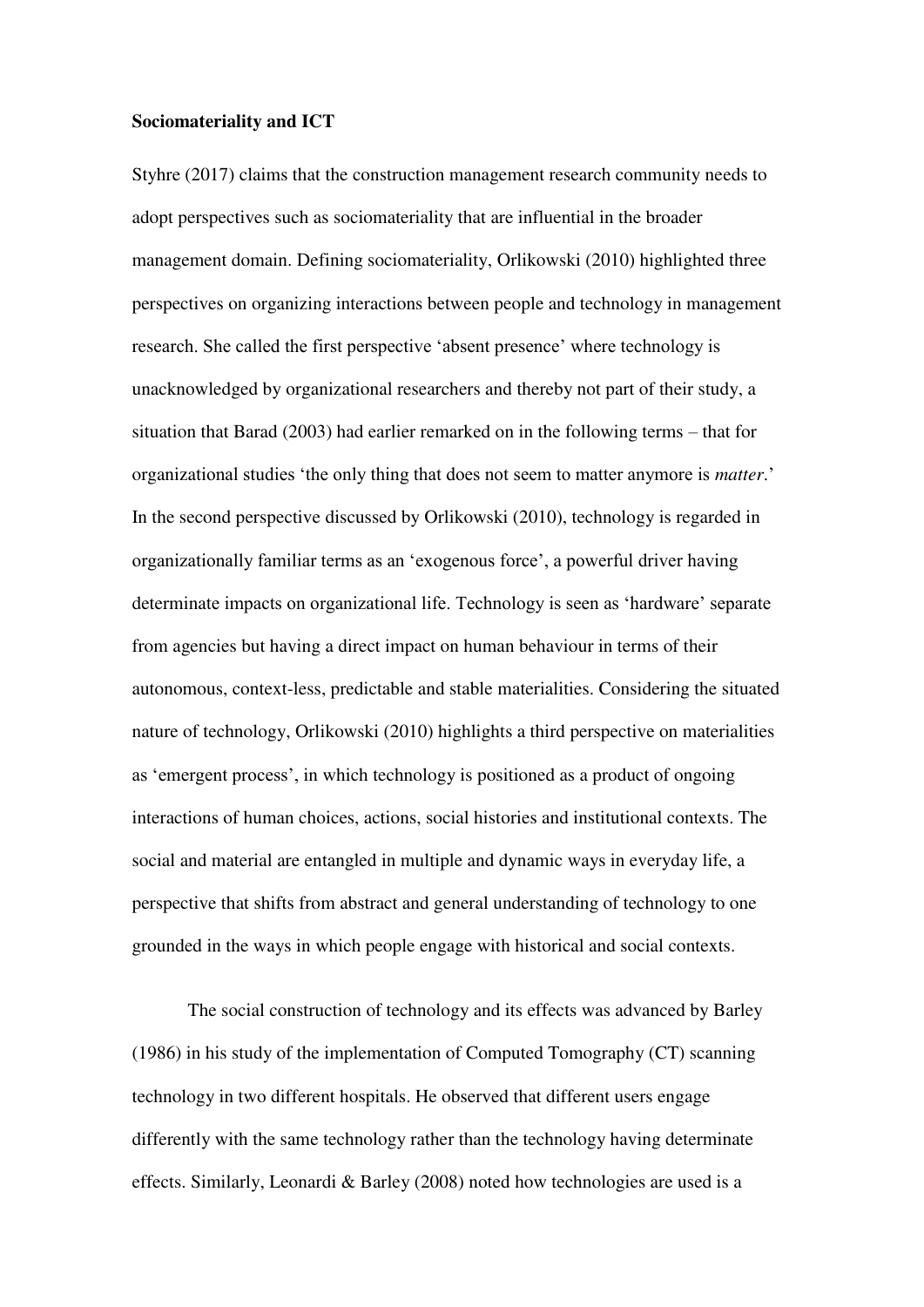#### **Sociomateriality and ICT**

Styhre (2017) claims that the construction management research community needs to adopt perspectives such as sociomateriality that are influential in the broader management domain. Defining sociomateriality, Orlikowski (2010) highlighted three perspectives on organizing interactions between people and technology in management research. She called the first perspective 'absent presence' where technology is unacknowledged by organizational researchers and thereby not part of their study, a situation that Barad (2003) had earlier remarked on in the following terms – that for organizational studies 'the only thing that does not seem to matter anymore is *matter*.' In the second perspective discussed by Orlikowski (2010), technology is regarded in organizationally familiar terms as an 'exogenous force', a powerful driver having determinate impacts on organizational life. Technology is seen as 'hardware' separate from agencies but having a direct impact on human behaviour in terms of their autonomous, context-less, predictable and stable materialities. Considering the situated nature of technology, Orlikowski (2010) highlights a third perspective on materialities as 'emergent process', in which technology is positioned as a product of ongoing interactions of human choices, actions, social histories and institutional contexts. The social and material are entangled in multiple and dynamic ways in everyday life, a perspective that shifts from abstract and general understanding of technology to one grounded in the ways in which people engage with historical and social contexts.

The social construction of technology and its effects was advanced by Barley (1986) in his study of the implementation of Computed Tomography (CT) scanning technology in two different hospitals. He observed that different users engage differently with the same technology rather than the technology having determinate effects. Similarly, Leonardi & Barley (2008) noted how technologies are used is a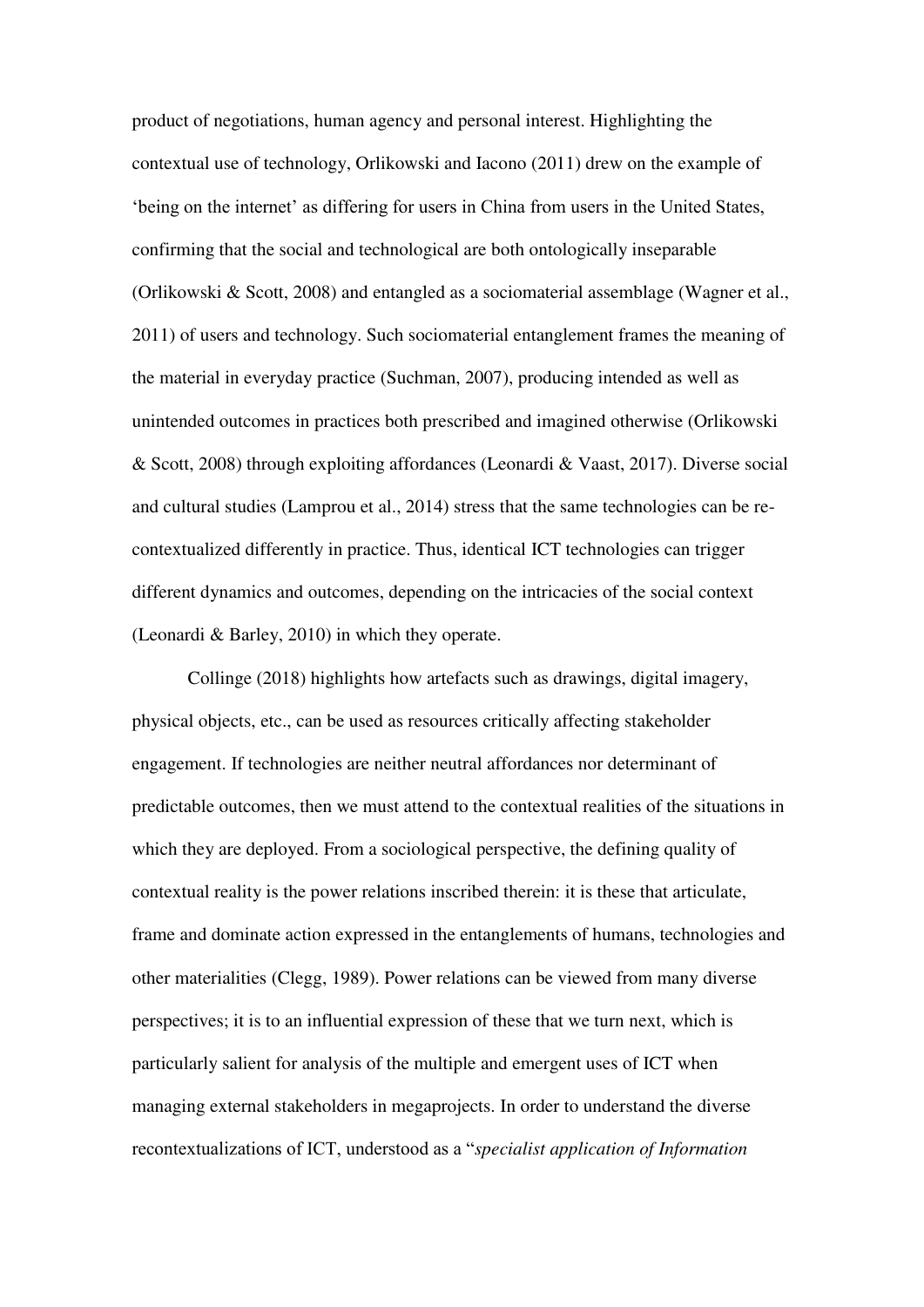product of negotiations, human agency and personal interest. Highlighting the contextual use of technology, Orlikowski and Iacono (2011) drew on the example of 'being on the internet' as differing for users in China from users in the United States, confirming that the social and technological are both ontologically inseparable (Orlikowski & Scott, 2008) and entangled as a sociomaterial assemblage (Wagner et al., 2011) of users and technology. Such sociomaterial entanglement frames the meaning of the material in everyday practice (Suchman, 2007), producing intended as well as unintended outcomes in practices both prescribed and imagined otherwise (Orlikowski & Scott, 2008) through exploiting affordances (Leonardi & Vaast, 2017). Diverse social and cultural studies (Lamprou et al., 2014) stress that the same technologies can be recontextualized differently in practice. Thus, identical ICT technologies can trigger different dynamics and outcomes, depending on the intricacies of the social context (Leonardi & Barley, 2010) in which they operate.

Collinge (2018) highlights how artefacts such as drawings, digital imagery, physical objects, etc., can be used as resources critically affecting stakeholder engagement. If technologies are neither neutral affordances nor determinant of predictable outcomes, then we must attend to the contextual realities of the situations in which they are deployed. From a sociological perspective, the defining quality of contextual reality is the power relations inscribed therein: it is these that articulate, frame and dominate action expressed in the entanglements of humans, technologies and other materialities (Clegg, 1989). Power relations can be viewed from many diverse perspectives; it is to an influential expression of these that we turn next, which is particularly salient for analysis of the multiple and emergent uses of ICT when managing external stakeholders in megaprojects. In order to understand the diverse recontextualizations of ICT, understood as a "*specialist application of Information*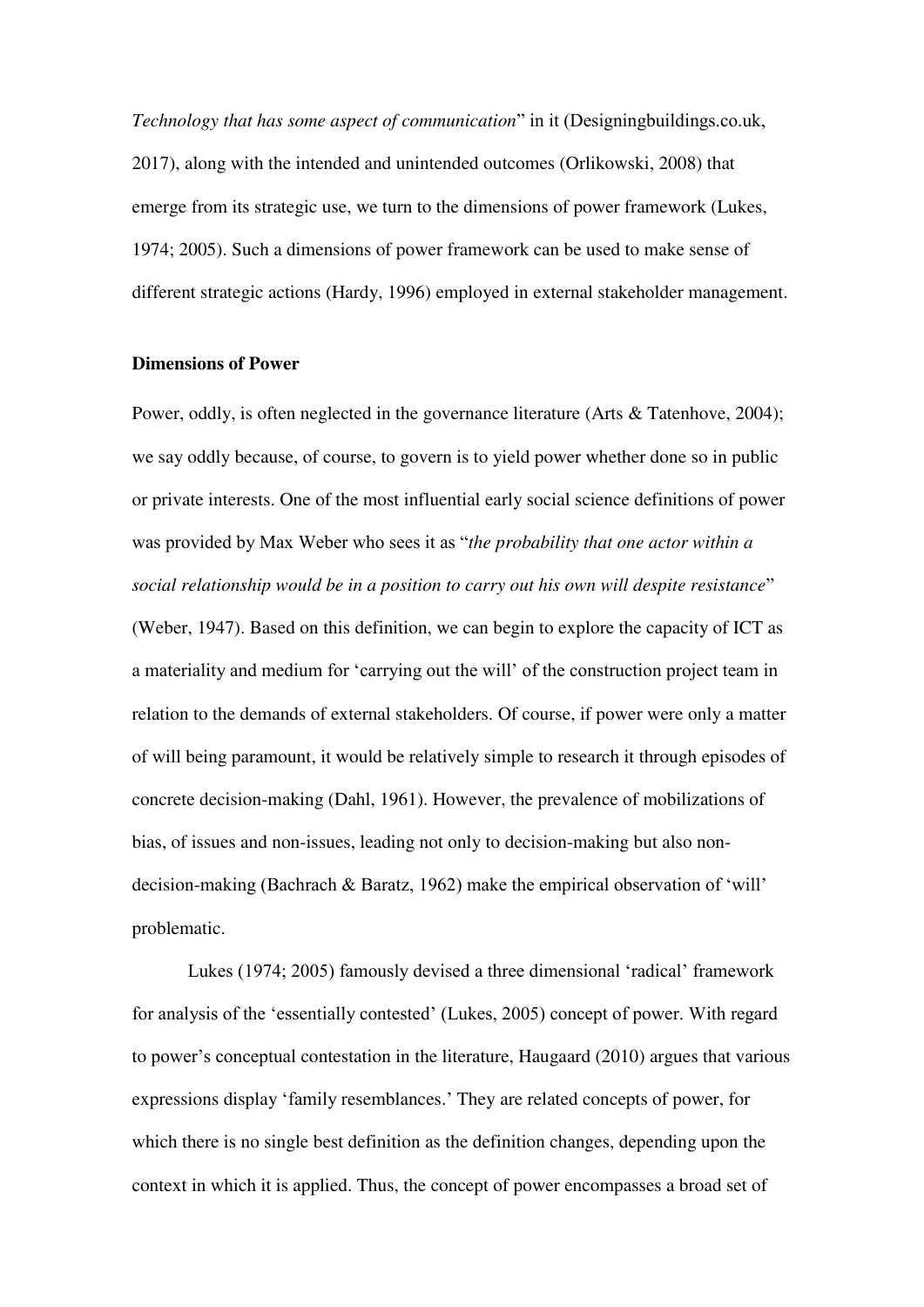*Technology that has some aspect of communication*" in it (Designingbuildings.co.uk, 2017), along with the intended and unintended outcomes (Orlikowski, 2008) that emerge from its strategic use, we turn to the dimensions of power framework (Lukes, 1974; 2005). Such a dimensions of power framework can be used to make sense of different strategic actions (Hardy, 1996) employed in external stakeholder management.

#### **Dimensions of Power**

Power, oddly, is often neglected in the governance literature (Arts & Tatenhove, 2004); we say oddly because, of course, to govern is to yield power whether done so in public or private interests. One of the most influential early social science definitions of power was provided by Max Weber who sees it as "*the probability that one actor within a social relationship would be in a position to carry out his own will despite resistance*" (Weber, 1947). Based on this definition, we can begin to explore the capacity of ICT as a materiality and medium for 'carrying out the will' of the construction project team in relation to the demands of external stakeholders. Of course, if power were only a matter of will being paramount, it would be relatively simple to research it through episodes of concrete decision-making (Dahl, 1961). However, the prevalence of mobilizations of bias, of issues and non-issues, leading not only to decision-making but also nondecision-making (Bachrach & Baratz, 1962) make the empirical observation of 'will' problematic.

Lukes (1974; 2005) famously devised a three dimensional 'radical' framework for analysis of the 'essentially contested' (Lukes, 2005) concept of power. With regard to power's conceptual contestation in the literature, Haugaard (2010) argues that various expressions display 'family resemblances.' They are related concepts of power, for which there is no single best definition as the definition changes, depending upon the context in which it is applied. Thus, the concept of power encompasses a broad set of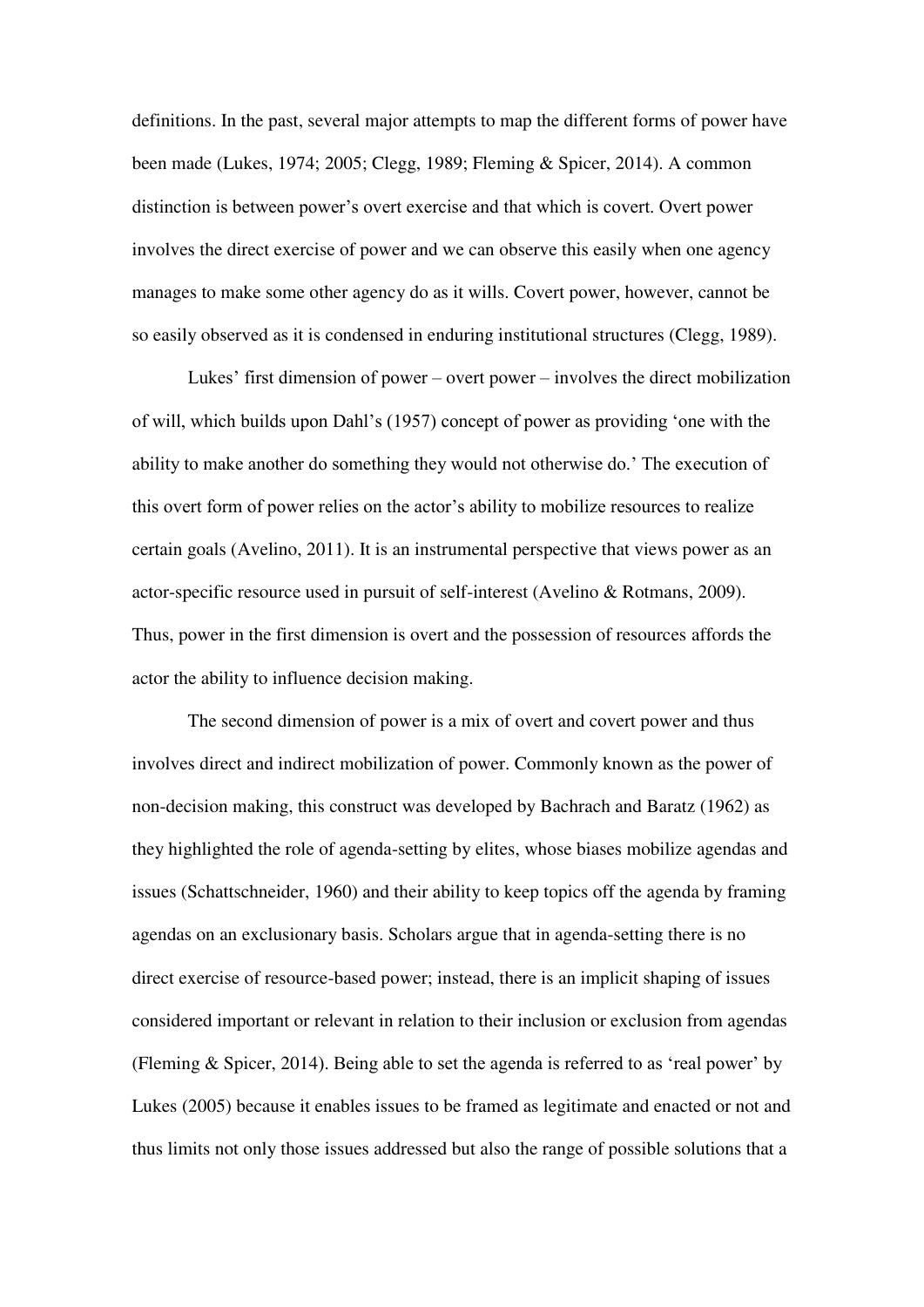definitions. In the past, several major attempts to map the different forms of power have been made (Lukes, 1974; 2005; Clegg, 1989; Fleming & Spicer, 2014). A common distinction is between power's overt exercise and that which is covert. Overt power involves the direct exercise of power and we can observe this easily when one agency manages to make some other agency do as it wills. Covert power, however, cannot be so easily observed as it is condensed in enduring institutional structures (Clegg, 1989).

Lukes' first dimension of power – overt power – involves the direct mobilization of will, which builds upon Dahl's (1957) concept of power as providing 'one with the ability to make another do something they would not otherwise do.' The execution of this overt form of power relies on the actor's ability to mobilize resources to realize certain goals (Avelino, 2011). It is an instrumental perspective that views power as an actor-specific resource used in pursuit of self-interest (Avelino & Rotmans, 2009). Thus, power in the first dimension is overt and the possession of resources affords the actor the ability to influence decision making.

The second dimension of power is a mix of overt and covert power and thus involves direct and indirect mobilization of power. Commonly known as the power of non-decision making, this construct was developed by Bachrach and Baratz (1962) as they highlighted the role of agenda-setting by elites, whose biases mobilize agendas and issues (Schattschneider, 1960) and their ability to keep topics off the agenda by framing agendas on an exclusionary basis. Scholars argue that in agenda-setting there is no direct exercise of resource-based power; instead, there is an implicit shaping of issues considered important or relevant in relation to their inclusion or exclusion from agendas (Fleming & Spicer, 2014). Being able to set the agenda is referred to as 'real power' by Lukes (2005) because it enables issues to be framed as legitimate and enacted or not and thus limits not only those issues addressed but also the range of possible solutions that a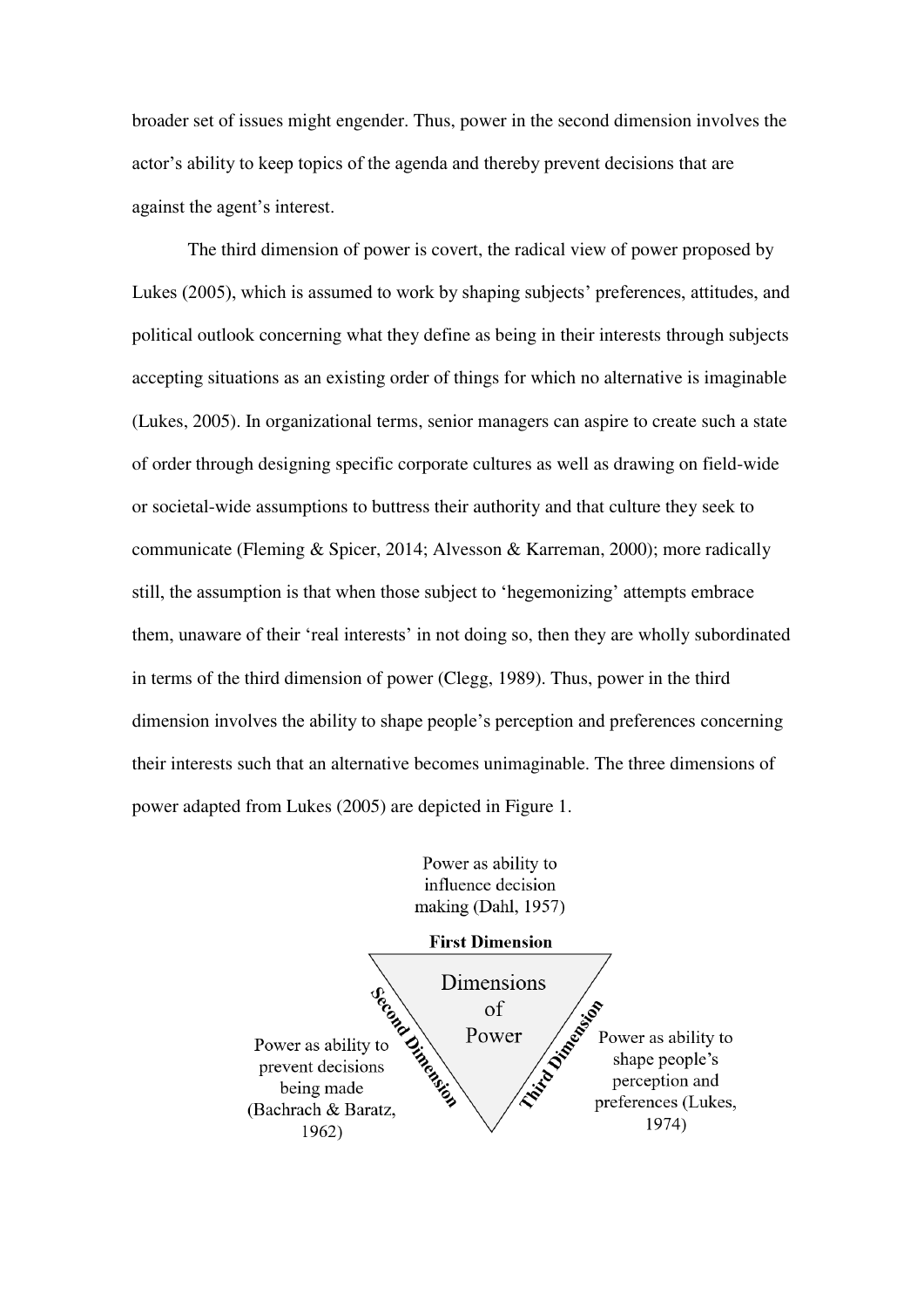broader set of issues might engender. Thus, power in the second dimension involves the actor's ability to keep topics of the agenda and thereby prevent decisions that are against the agent's interest.

The third dimension of power is covert, the radical view of power proposed by Lukes (2005), which is assumed to work by shaping subjects' preferences, attitudes, and political outlook concerning what they define as being in their interests through subjects accepting situations as an existing order of things for which no alternative is imaginable (Lukes, 2005). In organizational terms, senior managers can aspire to create such a state of order through designing specific corporate cultures as well as drawing on field-wide or societal-wide assumptions to buttress their authority and that culture they seek to communicate (Fleming & Spicer, 2014; Alvesson & Karreman, 2000); more radically still, the assumption is that when those subject to 'hegemonizing' attempts embrace them, unaware of their 'real interests' in not doing so, then they are wholly subordinated in terms of the third dimension of power (Clegg, 1989). Thus, power in the third dimension involves the ability to shape people's perception and preferences concerning their interests such that an alternative becomes unimaginable. The three dimensions of power adapted from Lukes (2005) are depicted in Figure 1.

> Power as ability to influence decision making (Dahl, 1957)

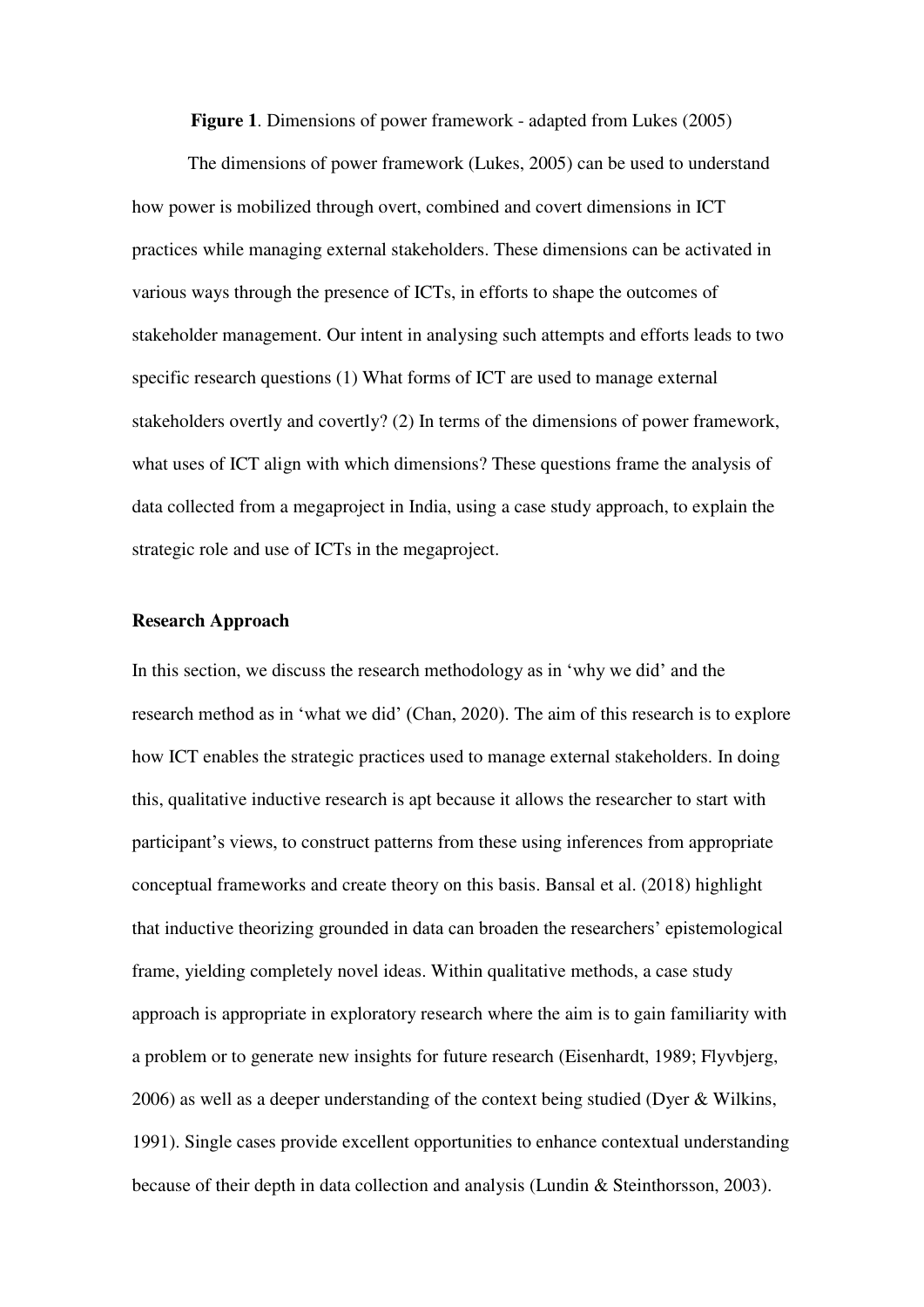**Figure 1**. Dimensions of power framework - adapted from Lukes (2005)

The dimensions of power framework (Lukes, 2005) can be used to understand how power is mobilized through overt, combined and covert dimensions in ICT practices while managing external stakeholders. These dimensions can be activated in various ways through the presence of ICTs, in efforts to shape the outcomes of stakeholder management. Our intent in analysing such attempts and efforts leads to two specific research questions (1) What forms of ICT are used to manage external stakeholders overtly and covertly? (2) In terms of the dimensions of power framework, what uses of ICT align with which dimensions? These questions frame the analysis of data collected from a megaproject in India, using a case study approach, to explain the strategic role and use of ICTs in the megaproject.

#### **Research Approach**

In this section, we discuss the research methodology as in 'why we did' and the research method as in 'what we did' (Chan, 2020). The aim of this research is to explore how ICT enables the strategic practices used to manage external stakeholders. In doing this, qualitative inductive research is apt because it allows the researcher to start with participant's views, to construct patterns from these using inferences from appropriate conceptual frameworks and create theory on this basis. Bansal et al. (2018) highlight that inductive theorizing grounded in data can broaden the researchers' epistemological frame, yielding completely novel ideas. Within qualitative methods, a case study approach is appropriate in exploratory research where the aim is to gain familiarity with a problem or to generate new insights for future research (Eisenhardt, 1989; Flyvbjerg, 2006) as well as a deeper understanding of the context being studied (Dyer & Wilkins, 1991). Single cases provide excellent opportunities to enhance contextual understanding because of their depth in data collection and analysis (Lundin & Steinthorsson, 2003).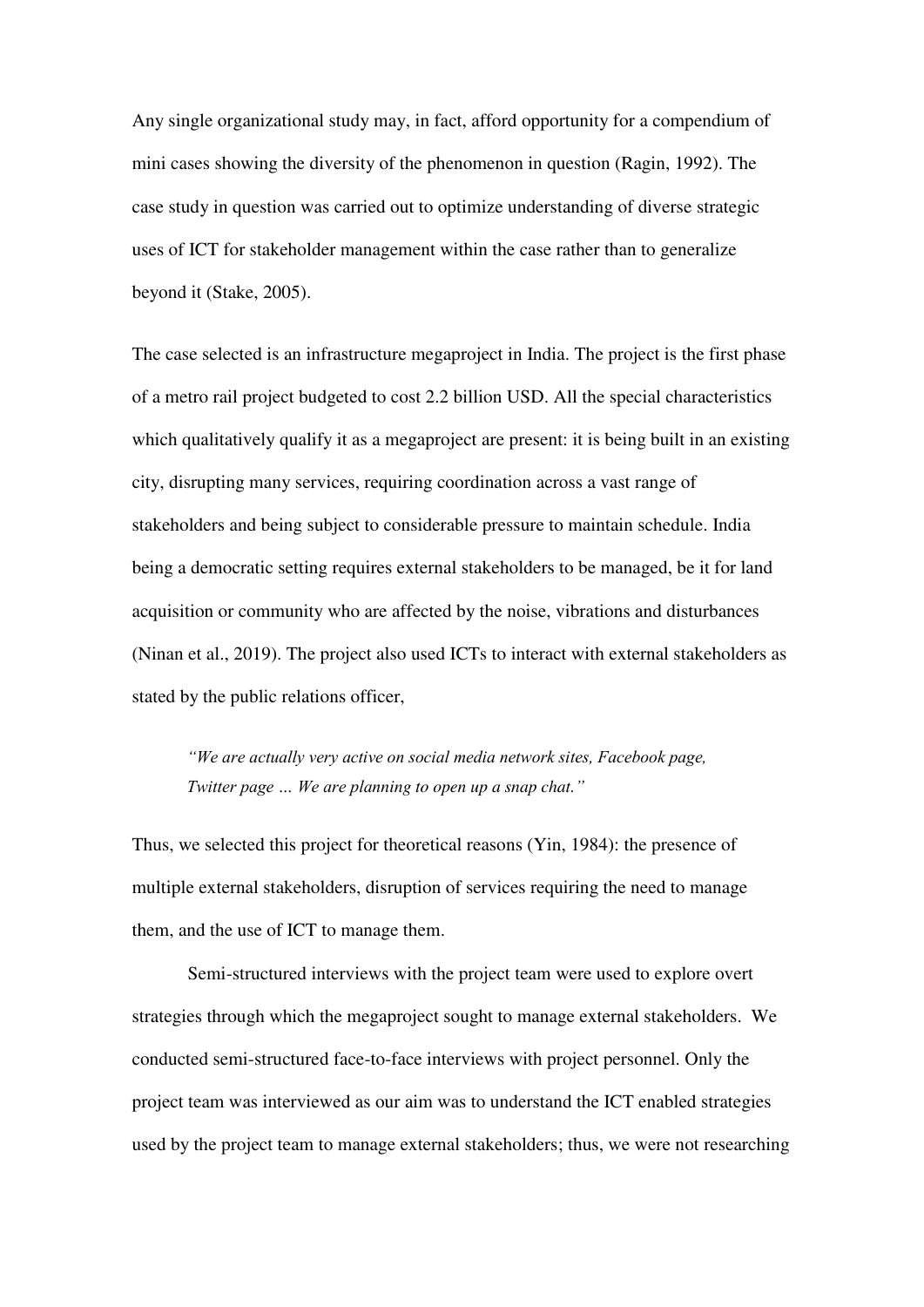Any single organizational study may, in fact, afford opportunity for a compendium of mini cases showing the diversity of the phenomenon in question (Ragin, 1992). The case study in question was carried out to optimize understanding of diverse strategic uses of ICT for stakeholder management within the case rather than to generalize beyond it (Stake, 2005).

The case selected is an infrastructure megaproject in India. The project is the first phase of a metro rail project budgeted to cost 2.2 billion USD. All the special characteristics which qualitatively qualify it as a megaproject are present: it is being built in an existing city, disrupting many services, requiring coordination across a vast range of stakeholders and being subject to considerable pressure to maintain schedule. India being a democratic setting requires external stakeholders to be managed, be it for land acquisition or community who are affected by the noise, vibrations and disturbances (Ninan et al., 2019). The project also used ICTs to interact with external stakeholders as stated by the public relations officer,

*"We are actually very active on social media network sites, Facebook page, Twitter page … We are planning to open up a snap chat."* 

Thus, we selected this project for theoretical reasons (Yin, 1984): the presence of multiple external stakeholders, disruption of services requiring the need to manage them, and the use of ICT to manage them.

Semi-structured interviews with the project team were used to explore overt strategies through which the megaproject sought to manage external stakeholders. We conducted semi-structured face-to-face interviews with project personnel. Only the project team was interviewed as our aim was to understand the ICT enabled strategies used by the project team to manage external stakeholders; thus, we were not researching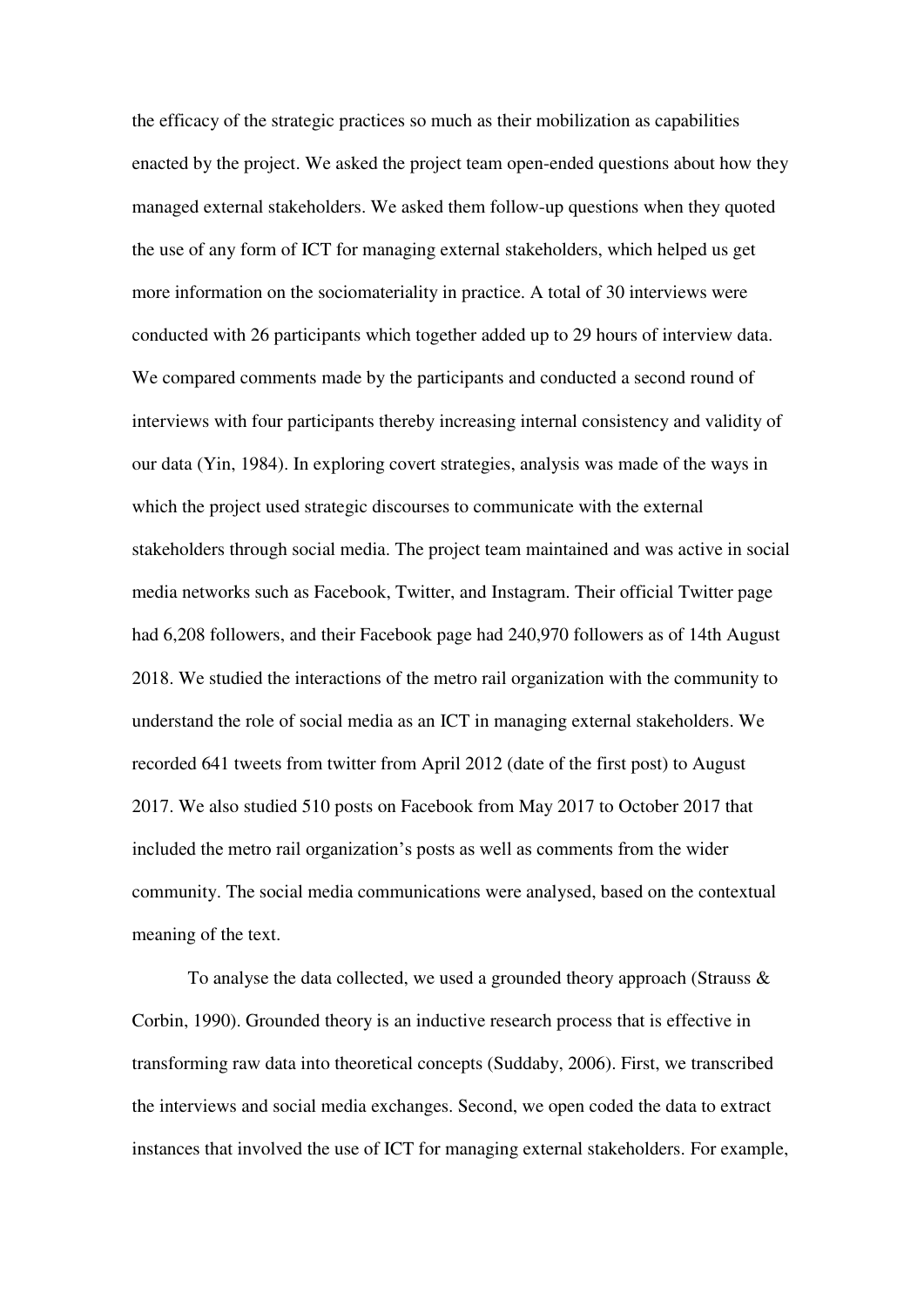the efficacy of the strategic practices so much as their mobilization as capabilities enacted by the project. We asked the project team open-ended questions about how they managed external stakeholders. We asked them follow-up questions when they quoted the use of any form of ICT for managing external stakeholders, which helped us get more information on the sociomateriality in practice. A total of 30 interviews were conducted with 26 participants which together added up to 29 hours of interview data. We compared comments made by the participants and conducted a second round of interviews with four participants thereby increasing internal consistency and validity of our data (Yin, 1984). In exploring covert strategies, analysis was made of the ways in which the project used strategic discourses to communicate with the external stakeholders through social media. The project team maintained and was active in social media networks such as Facebook, Twitter, and Instagram. Their official Twitter page had 6,208 followers, and their Facebook page had 240,970 followers as of 14th August 2018. We studied the interactions of the metro rail organization with the community to understand the role of social media as an ICT in managing external stakeholders. We recorded 641 tweets from twitter from April 2012 (date of the first post) to August 2017. We also studied 510 posts on Facebook from May 2017 to October 2017 that included the metro rail organization's posts as well as comments from the wider community. The social media communications were analysed, based on the contextual meaning of the text.

To analyse the data collected, we used a grounded theory approach (Strauss & Corbin, 1990). Grounded theory is an inductive research process that is effective in transforming raw data into theoretical concepts (Suddaby, 2006). First, we transcribed the interviews and social media exchanges. Second, we open coded the data to extract instances that involved the use of ICT for managing external stakeholders. For example,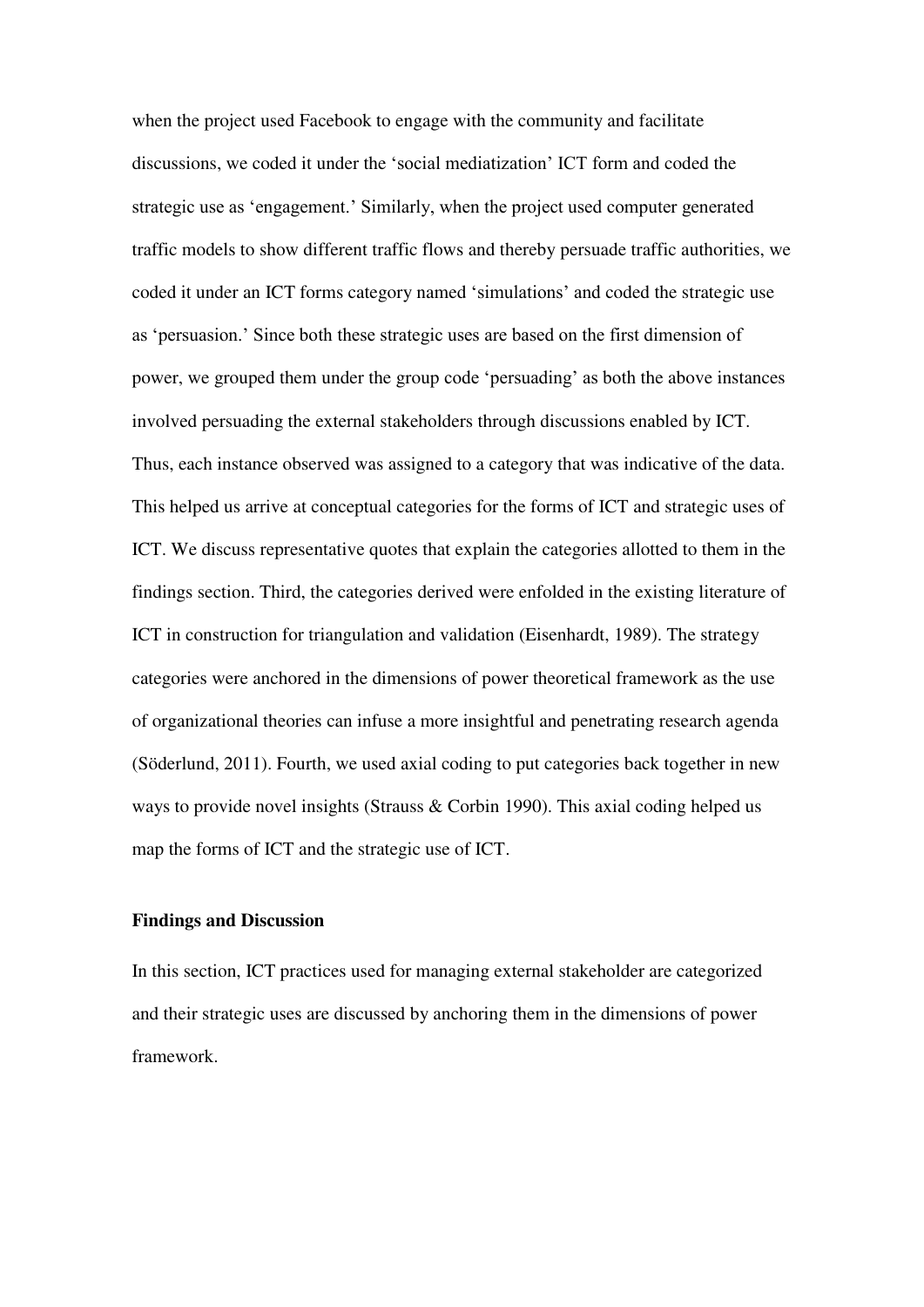when the project used Facebook to engage with the community and facilitate discussions, we coded it under the 'social mediatization' ICT form and coded the strategic use as 'engagement.' Similarly, when the project used computer generated traffic models to show different traffic flows and thereby persuade traffic authorities, we coded it under an ICT forms category named 'simulations' and coded the strategic use as 'persuasion.' Since both these strategic uses are based on the first dimension of power, we grouped them under the group code 'persuading' as both the above instances involved persuading the external stakeholders through discussions enabled by ICT. Thus, each instance observed was assigned to a category that was indicative of the data. This helped us arrive at conceptual categories for the forms of ICT and strategic uses of ICT. We discuss representative quotes that explain the categories allotted to them in the findings section. Third, the categories derived were enfolded in the existing literature of ICT in construction for triangulation and validation (Eisenhardt, 1989). The strategy categories were anchored in the dimensions of power theoretical framework as the use of organizational theories can infuse a more insightful and penetrating research agenda (Söderlund, 2011). Fourth, we used axial coding to put categories back together in new ways to provide novel insights (Strauss & Corbin 1990). This axial coding helped us map the forms of ICT and the strategic use of ICT.

#### **Findings and Discussion**

In this section, ICT practices used for managing external stakeholder are categorized and their strategic uses are discussed by anchoring them in the dimensions of power framework.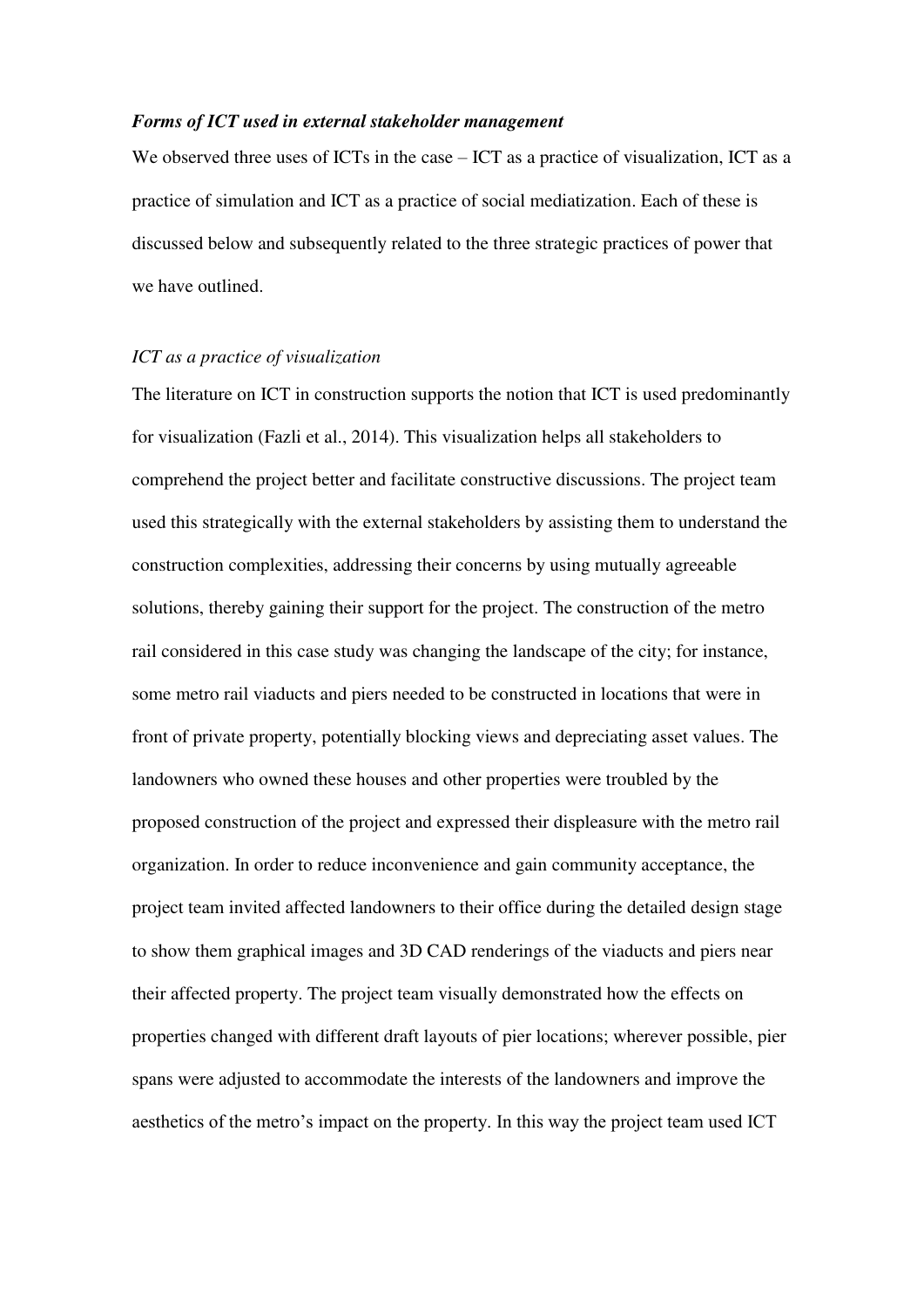#### *Forms of ICT used in external stakeholder management*

We observed three uses of ICTs in the case – ICT as a practice of visualization, ICT as a practice of simulation and ICT as a practice of social mediatization. Each of these is discussed below and subsequently related to the three strategic practices of power that we have outlined.

#### *ICT as a practice of visualization*

The literature on ICT in construction supports the notion that ICT is used predominantly for visualization (Fazli et al., 2014). This visualization helps all stakeholders to comprehend the project better and facilitate constructive discussions. The project team used this strategically with the external stakeholders by assisting them to understand the construction complexities, addressing their concerns by using mutually agreeable solutions, thereby gaining their support for the project. The construction of the metro rail considered in this case study was changing the landscape of the city; for instance, some metro rail viaducts and piers needed to be constructed in locations that were in front of private property, potentially blocking views and depreciating asset values. The landowners who owned these houses and other properties were troubled by the proposed construction of the project and expressed their displeasure with the metro rail organization. In order to reduce inconvenience and gain community acceptance, the project team invited affected landowners to their office during the detailed design stage to show them graphical images and 3D CAD renderings of the viaducts and piers near their affected property. The project team visually demonstrated how the effects on properties changed with different draft layouts of pier locations; wherever possible, pier spans were adjusted to accommodate the interests of the landowners and improve the aesthetics of the metro's impact on the property. In this way the project team used ICT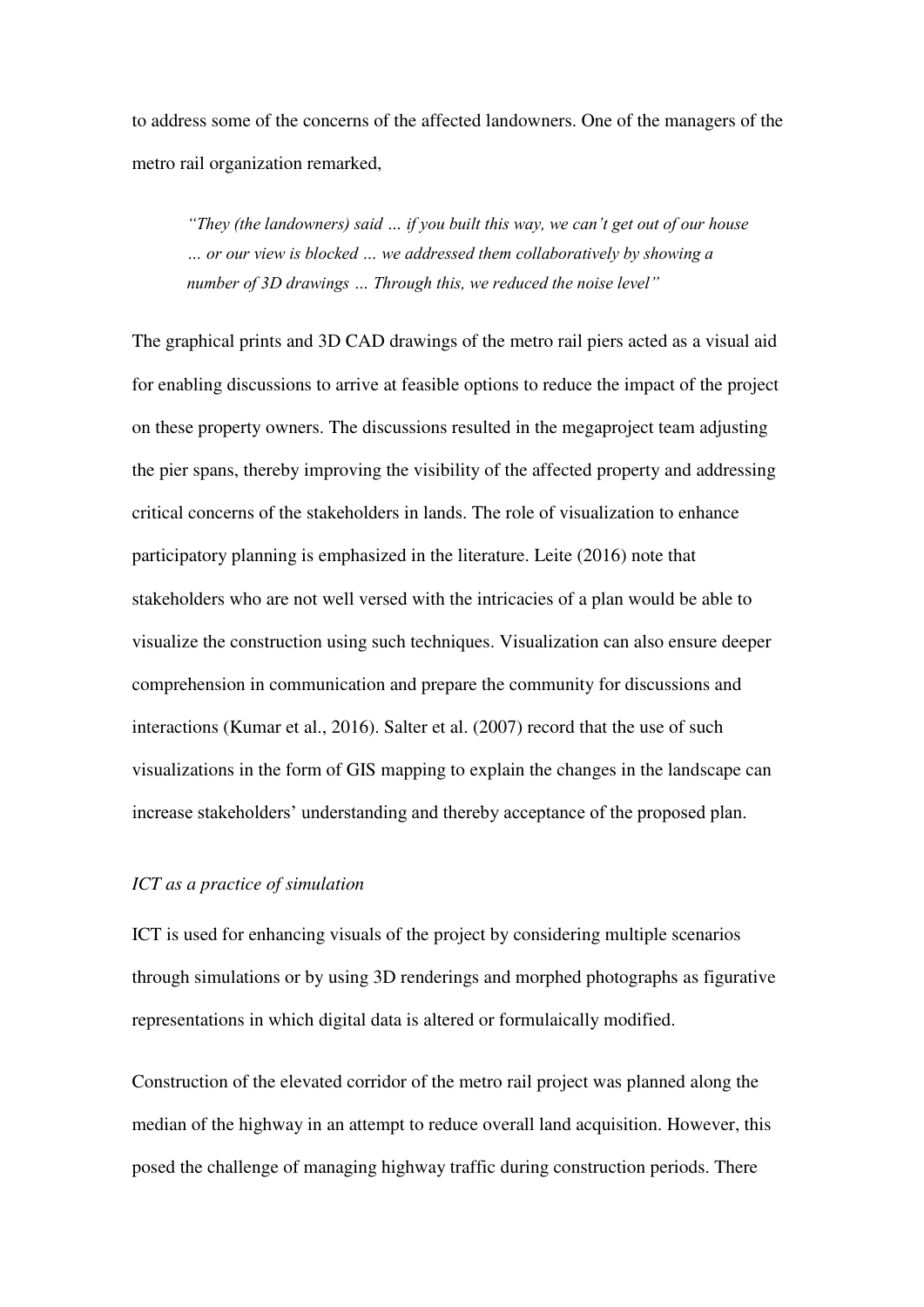to address some of the concerns of the affected landowners. One of the managers of the metro rail organization remarked,

*"They (the landowners) said … if you built this way, we can't get out of our house … or our view is blocked … we addressed them collaboratively by showing a number of 3D drawings … Through this, we reduced the noise level"*

The graphical prints and 3D CAD drawings of the metro rail piers acted as a visual aid for enabling discussions to arrive at feasible options to reduce the impact of the project on these property owners. The discussions resulted in the megaproject team adjusting the pier spans, thereby improving the visibility of the affected property and addressing critical concerns of the stakeholders in lands. The role of visualization to enhance participatory planning is emphasized in the literature. Leite (2016) note that stakeholders who are not well versed with the intricacies of a plan would be able to visualize the construction using such techniques. Visualization can also ensure deeper comprehension in communication and prepare the community for discussions and interactions (Kumar et al., 2016). Salter et al. (2007) record that the use of such visualizations in the form of GIS mapping to explain the changes in the landscape can increase stakeholders' understanding and thereby acceptance of the proposed plan.

#### *ICT as a practice of simulation*

ICT is used for enhancing visuals of the project by considering multiple scenarios through simulations or by using 3D renderings and morphed photographs as figurative representations in which digital data is altered or formulaically modified.

Construction of the elevated corridor of the metro rail project was planned along the median of the highway in an attempt to reduce overall land acquisition. However, this posed the challenge of managing highway traffic during construction periods. There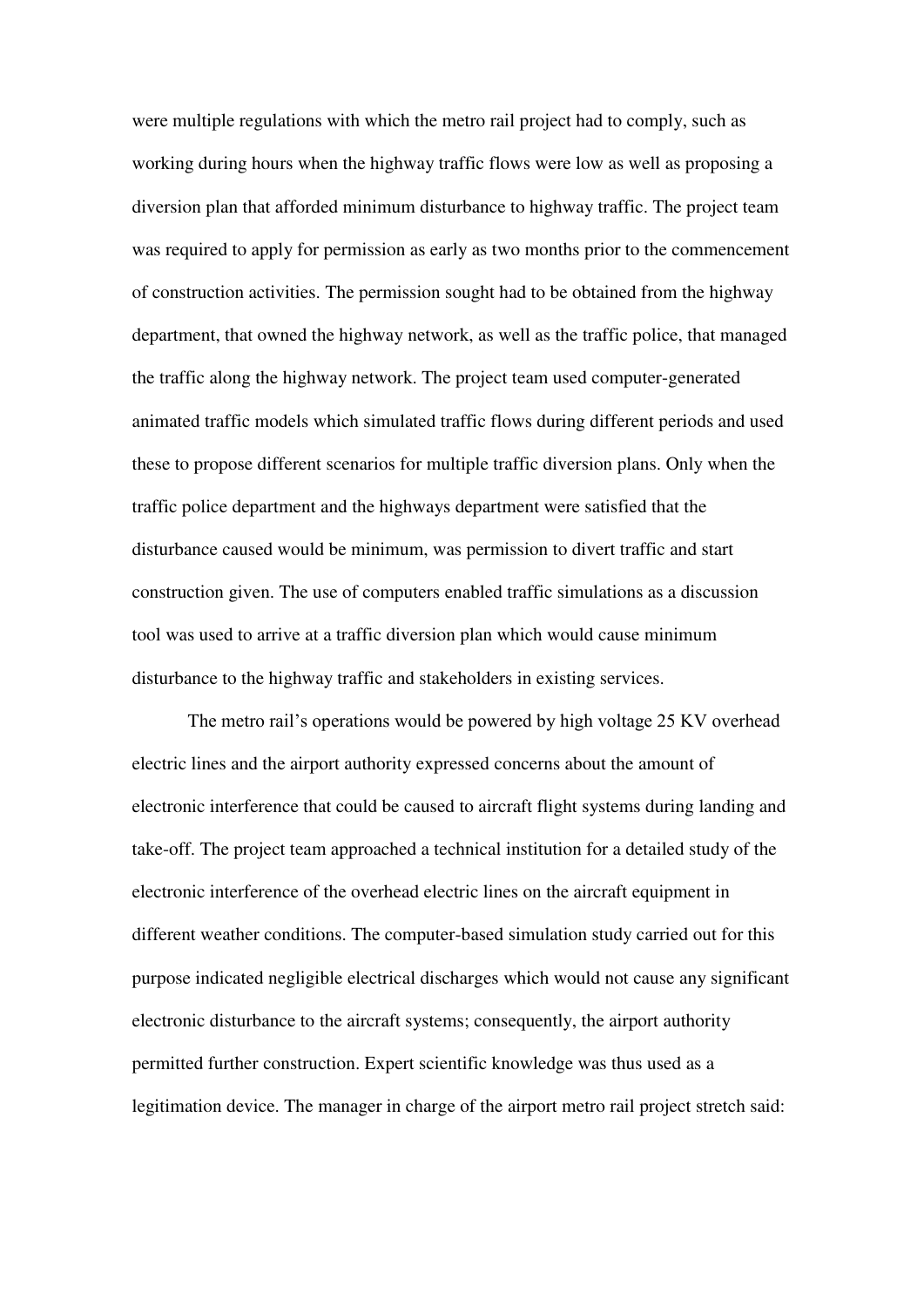were multiple regulations with which the metro rail project had to comply, such as working during hours when the highway traffic flows were low as well as proposing a diversion plan that afforded minimum disturbance to highway traffic. The project team was required to apply for permission as early as two months prior to the commencement of construction activities. The permission sought had to be obtained from the highway department, that owned the highway network, as well as the traffic police, that managed the traffic along the highway network. The project team used computer-generated animated traffic models which simulated traffic flows during different periods and used these to propose different scenarios for multiple traffic diversion plans. Only when the traffic police department and the highways department were satisfied that the disturbance caused would be minimum, was permission to divert traffic and start construction given. The use of computers enabled traffic simulations as a discussion tool was used to arrive at a traffic diversion plan which would cause minimum disturbance to the highway traffic and stakeholders in existing services.

The metro rail's operations would be powered by high voltage 25 KV overhead electric lines and the airport authority expressed concerns about the amount of electronic interference that could be caused to aircraft flight systems during landing and take-off. The project team approached a technical institution for a detailed study of the electronic interference of the overhead electric lines on the aircraft equipment in different weather conditions. The computer-based simulation study carried out for this purpose indicated negligible electrical discharges which would not cause any significant electronic disturbance to the aircraft systems; consequently, the airport authority permitted further construction. Expert scientific knowledge was thus used as a legitimation device. The manager in charge of the airport metro rail project stretch said: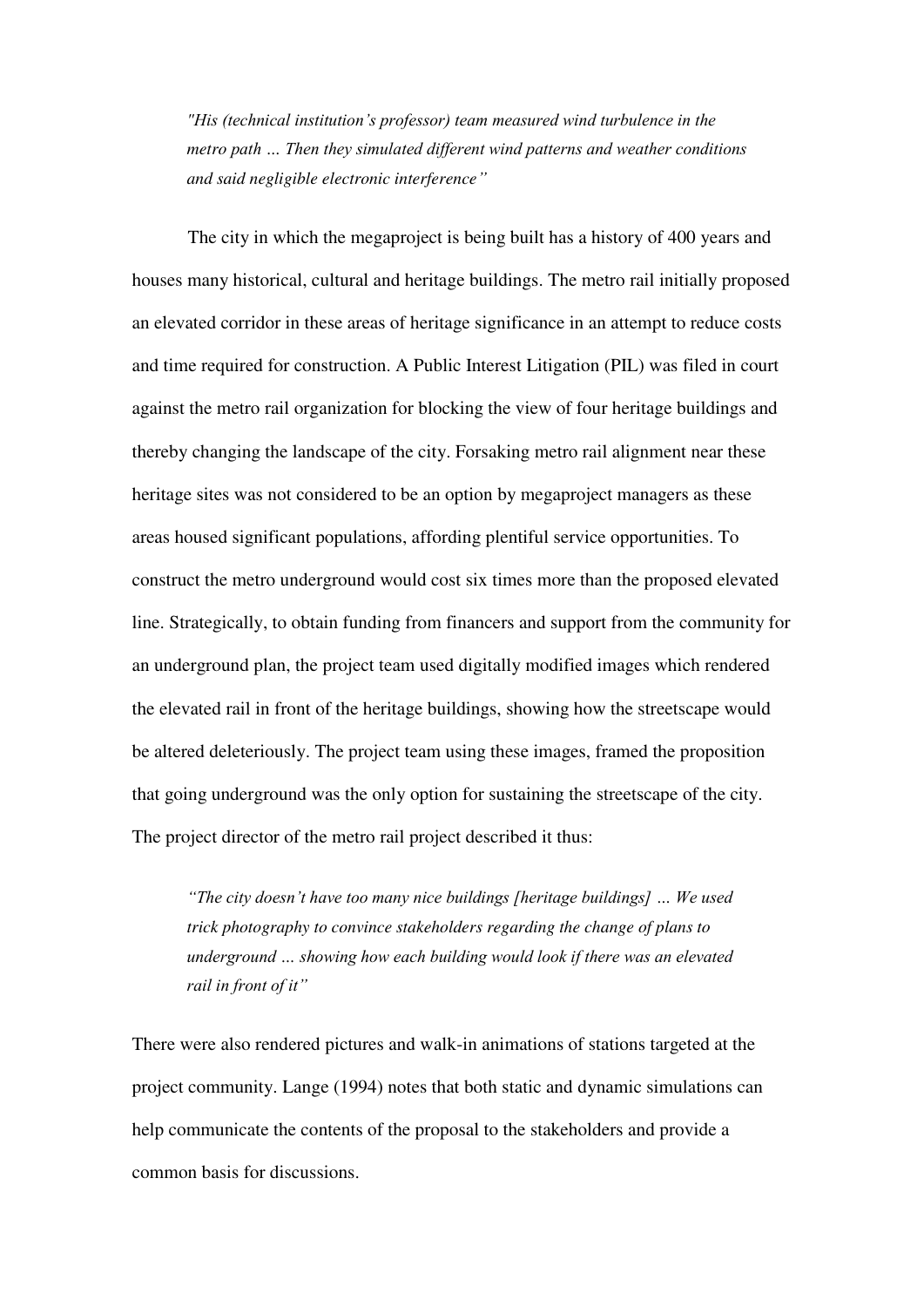*"His (technical institution's professor) team measured wind turbulence in the metro path … Then they simulated different wind patterns and weather conditions and said negligible electronic interference"*

The city in which the megaproject is being built has a history of 400 years and houses many historical, cultural and heritage buildings. The metro rail initially proposed an elevated corridor in these areas of heritage significance in an attempt to reduce costs and time required for construction. A Public Interest Litigation (PIL) was filed in court against the metro rail organization for blocking the view of four heritage buildings and thereby changing the landscape of the city. Forsaking metro rail alignment near these heritage sites was not considered to be an option by megaproject managers as these areas housed significant populations, affording plentiful service opportunities. To construct the metro underground would cost six times more than the proposed elevated line. Strategically, to obtain funding from financers and support from the community for an underground plan, the project team used digitally modified images which rendered the elevated rail in front of the heritage buildings, showing how the streetscape would be altered deleteriously. The project team using these images, framed the proposition that going underground was the only option for sustaining the streetscape of the city. The project director of the metro rail project described it thus:

*"The city doesn't have too many nice buildings [heritage buildings] … We used trick photography to convince stakeholders regarding the change of plans to underground … showing how each building would look if there was an elevated rail in front of it"*

There were also rendered pictures and walk-in animations of stations targeted at the project community. Lange (1994) notes that both static and dynamic simulations can help communicate the contents of the proposal to the stakeholders and provide a common basis for discussions.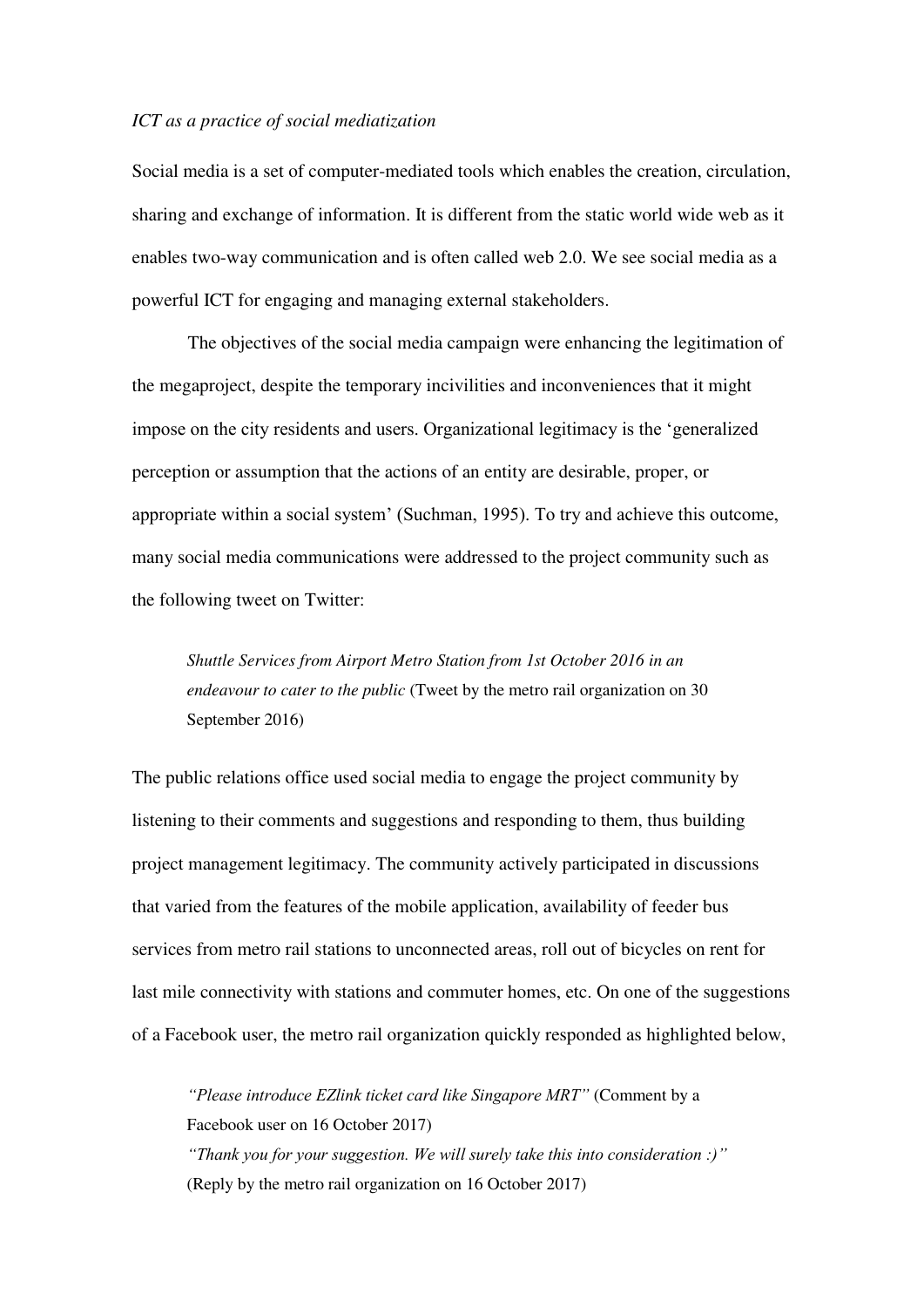#### *ICT as a practice of social mediatization*

Social media is a set of computer-mediated tools which enables the creation, circulation, sharing and exchange of information. It is different from the static world wide web as it enables two-way communication and is often called web 2.0. We see social media as a powerful ICT for engaging and managing external stakeholders.

The objectives of the social media campaign were enhancing the legitimation of the megaproject, despite the temporary incivilities and inconveniences that it might impose on the city residents and users. Organizational legitimacy is the 'generalized perception or assumption that the actions of an entity are desirable, proper, or appropriate within a social system' (Suchman, 1995). To try and achieve this outcome, many social media communications were addressed to the project community such as the following tweet on Twitter:

*Shuttle Services from Airport Metro Station from 1st October 2016 in an endeavour to cater to the public* (Tweet by the metro rail organization on 30 September 2016)

The public relations office used social media to engage the project community by listening to their comments and suggestions and responding to them, thus building project management legitimacy. The community actively participated in discussions that varied from the features of the mobile application, availability of feeder bus services from metro rail stations to unconnected areas, roll out of bicycles on rent for last mile connectivity with stations and commuter homes, etc. On one of the suggestions of a Facebook user, the metro rail organization quickly responded as highlighted below,

*"Please introduce EZlink ticket card like Singapore MRT"* (Comment by a Facebook user on 16 October 2017) *"Thank you for your suggestion. We will surely take this into consideration :)"* (Reply by the metro rail organization on 16 October 2017)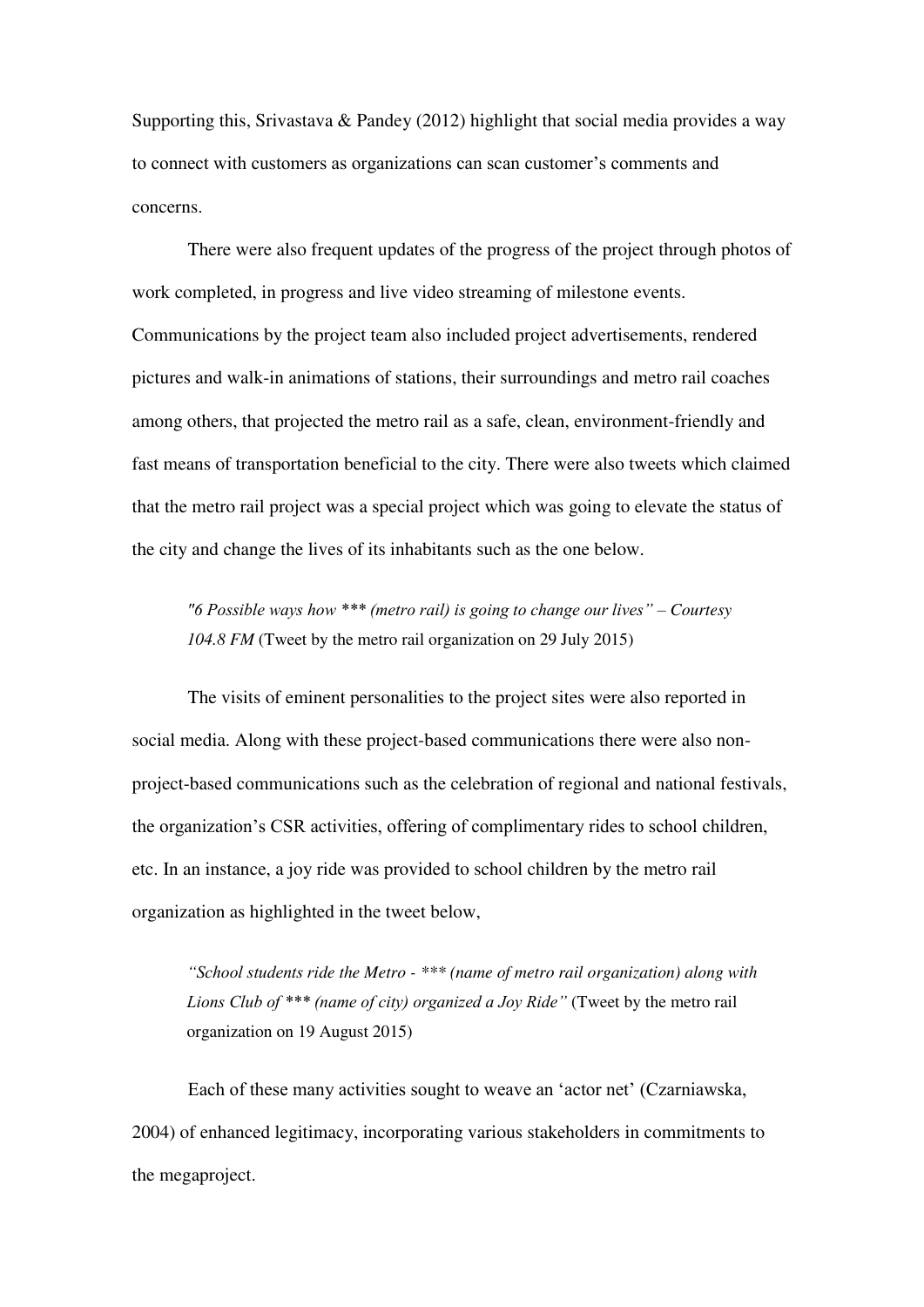Supporting this, Srivastava & Pandey (2012) highlight that social media provides a way to connect with customers as organizations can scan customer's comments and concerns.

There were also frequent updates of the progress of the project through photos of work completed, in progress and live video streaming of milestone events. Communications by the project team also included project advertisements, rendered pictures and walk-in animations of stations, their surroundings and metro rail coaches among others, that projected the metro rail as a safe, clean, environment-friendly and fast means of transportation beneficial to the city. There were also tweets which claimed that the metro rail project was a special project which was going to elevate the status of the city and change the lives of its inhabitants such as the one below.

*"6 Possible ways how \*\*\* (metro rail) is going to change our lives" – Courtesy 104.8 FM* (Tweet by the metro rail organization on 29 July 2015)

The visits of eminent personalities to the project sites were also reported in social media. Along with these project-based communications there were also nonproject-based communications such as the celebration of regional and national festivals, the organization's CSR activities, offering of complimentary rides to school children, etc. In an instance, a joy ride was provided to school children by the metro rail organization as highlighted in the tweet below,

*"School students ride the Metro - \*\*\* (name of metro rail organization) along with Lions Club of \*\*\* (name of city) organized a Joy Ride"* (Tweet by the metro rail organization on 19 August 2015)

Each of these many activities sought to weave an 'actor net' (Czarniawska, 2004) of enhanced legitimacy, incorporating various stakeholders in commitments to the megaproject.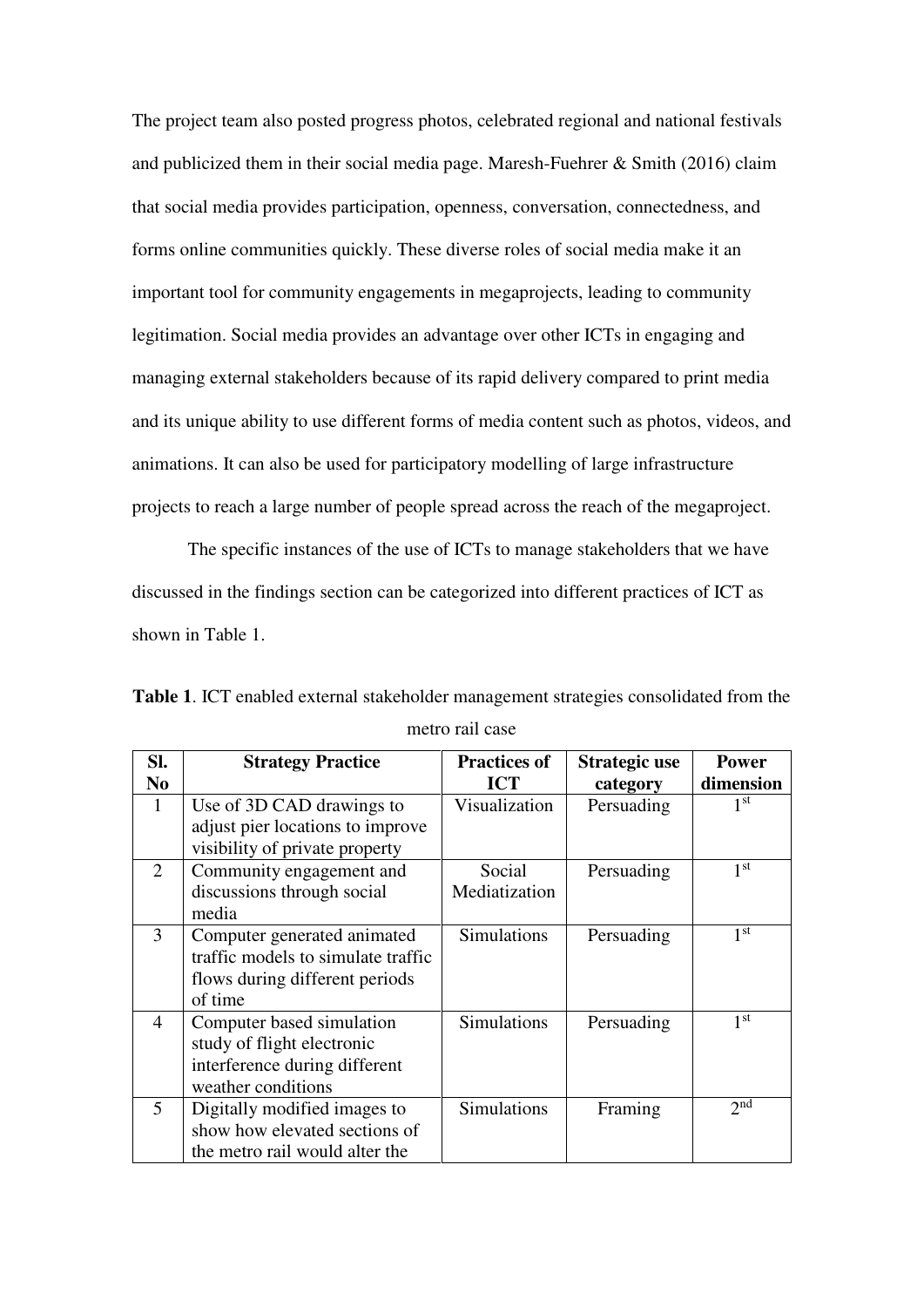The project team also posted progress photos, celebrated regional and national festivals and publicized them in their social media page. Maresh-Fuehrer & Smith (2016) claim that social media provides participation, openness, conversation, connectedness, and forms online communities quickly. These diverse roles of social media make it an important tool for community engagements in megaprojects, leading to community legitimation. Social media provides an advantage over other ICTs in engaging and managing external stakeholders because of its rapid delivery compared to print media and its unique ability to use different forms of media content such as photos, videos, and animations. It can also be used for participatory modelling of large infrastructure projects to reach a large number of people spread across the reach of the megaproject.

The specific instances of the use of ICTs to manage stakeholders that we have discussed in the findings section can be categorized into different practices of ICT as shown in Table 1.

| SI.            | <b>Strategy Practice</b>           | <b>Practices of</b> | Strategic use | <b>Power</b>    |
|----------------|------------------------------------|---------------------|---------------|-----------------|
| N <sub>0</sub> |                                    | <b>ICT</b>          | category      | dimension       |
| 1              | Use of 3D CAD drawings to          | Visualization       | Persuading    | 1 <sup>st</sup> |
|                | adjust pier locations to improve   |                     |               |                 |
|                | visibility of private property     |                     |               |                 |
| $\overline{2}$ | Community engagement and           | Social              | Persuading    | 1 <sup>st</sup> |
|                | discussions through social         | Mediatization       |               |                 |
|                | media                              |                     |               |                 |
| 3              | Computer generated animated        | <b>Simulations</b>  | Persuading    | 1 <sup>st</sup> |
|                | traffic models to simulate traffic |                     |               |                 |
|                | flows during different periods     |                     |               |                 |
|                | of time                            |                     |               |                 |
| 4              | Computer based simulation          | Simulations         | Persuading    | 1 <sup>st</sup> |
|                | study of flight electronic         |                     |               |                 |
|                | interference during different      |                     |               |                 |
|                | weather conditions                 |                     |               |                 |
| 5              | Digitally modified images to       | <b>Simulations</b>  | Framing       | 2 <sub>nd</sub> |
|                | show how elevated sections of      |                     |               |                 |
|                | the metro rail would alter the     |                     |               |                 |

**Table 1**. ICT enabled external stakeholder management strategies consolidated from the metro rail case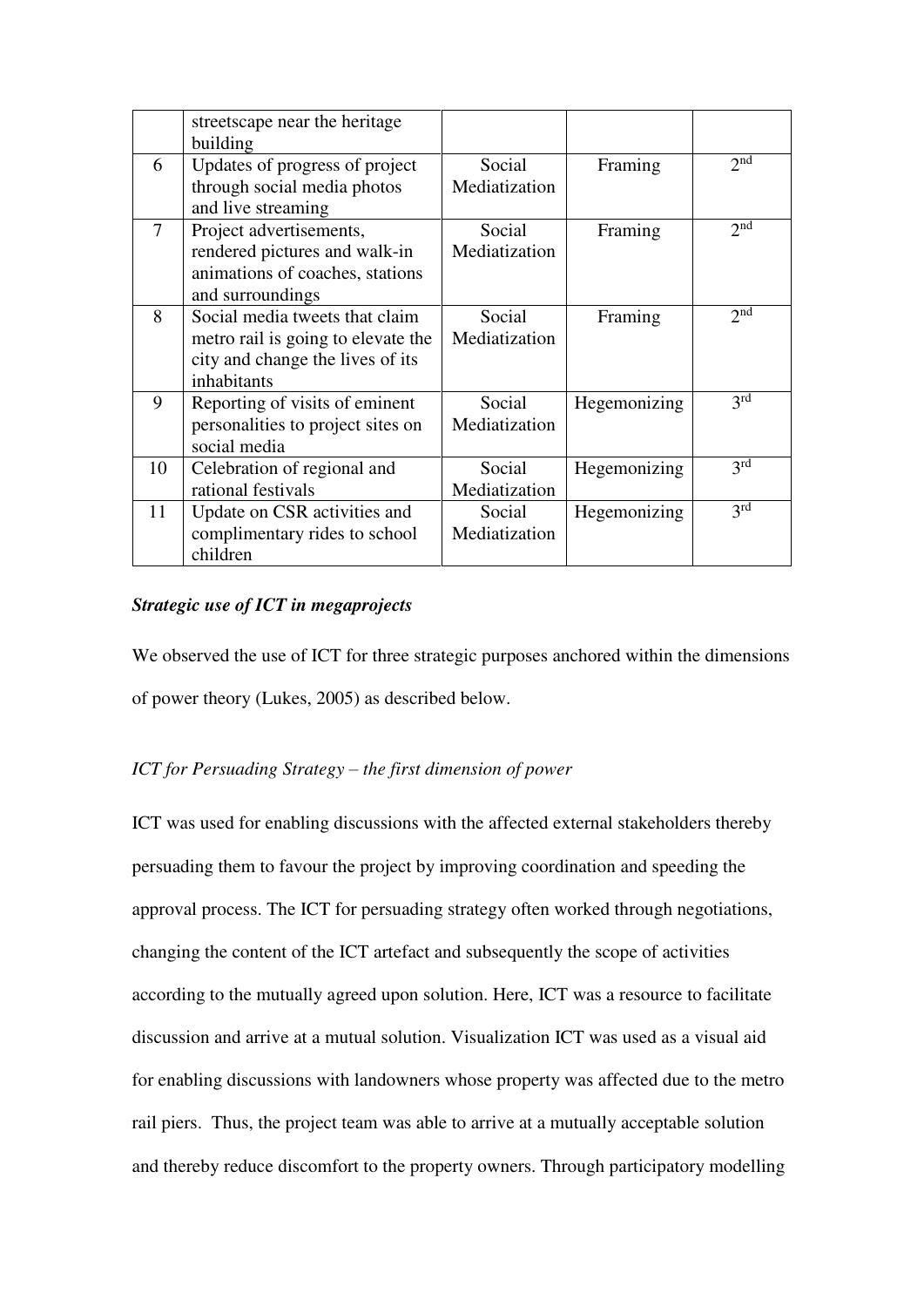|    | streetscape near the heritage<br>building                                                                               |                         |              |                   |
|----|-------------------------------------------------------------------------------------------------------------------------|-------------------------|--------------|-------------------|
| 6  | Updates of progress of project<br>through social media photos<br>and live streaming                                     | Social<br>Mediatization | Framing      | 2 <sub>nd</sub>   |
| 7  | Project advertisements,<br>rendered pictures and walk-in<br>animations of coaches, stations<br>and surroundings         | Social<br>Mediatization | Framing      | 2 <sub>nd</sub>   |
| 8  | Social media tweets that claim<br>metro rail is going to elevate the<br>city and change the lives of its<br>inhabitants | Social<br>Mediatization | Framing      | 2 <sub>nd</sub>   |
| 9  | Reporting of visits of eminent<br>personalities to project sites on<br>social media                                     | Social<br>Mediatization | Hegemonizing | 3 <sup>rd</sup>   |
| 10 | Celebration of regional and<br>rational festivals                                                                       | Social<br>Mediatization | Hegemonizing | 3 <sup>rd</sup>   |
| 11 | Update on CSR activities and<br>complimentary rides to school<br>children                                               | Social<br>Mediatization | Hegemonizing | $\overline{3}$ rd |

## *Strategic use of ICT in megaprojects*

We observed the use of ICT for three strategic purposes anchored within the dimensions of power theory (Lukes, 2005) as described below.

# *ICT for Persuading Strategy – the first dimension of power*

ICT was used for enabling discussions with the affected external stakeholders thereby persuading them to favour the project by improving coordination and speeding the approval process. The ICT for persuading strategy often worked through negotiations, changing the content of the ICT artefact and subsequently the scope of activities according to the mutually agreed upon solution. Here, ICT was a resource to facilitate discussion and arrive at a mutual solution. Visualization ICT was used as a visual aid for enabling discussions with landowners whose property was affected due to the metro rail piers. Thus, the project team was able to arrive at a mutually acceptable solution and thereby reduce discomfort to the property owners. Through participatory modelling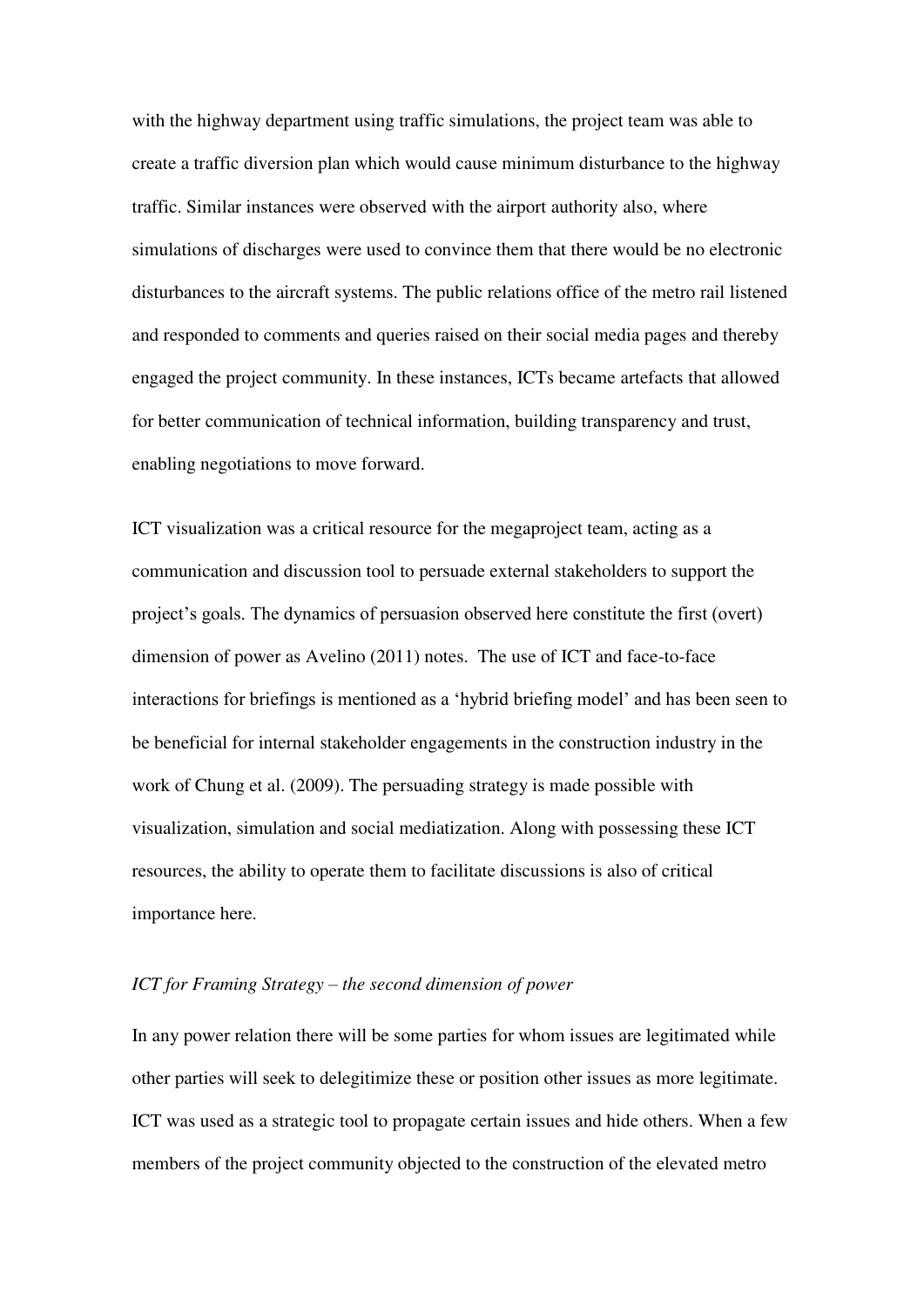with the highway department using traffic simulations, the project team was able to create a traffic diversion plan which would cause minimum disturbance to the highway traffic. Similar instances were observed with the airport authority also, where simulations of discharges were used to convince them that there would be no electronic disturbances to the aircraft systems. The public relations office of the metro rail listened and responded to comments and queries raised on their social media pages and thereby engaged the project community. In these instances, ICTs became artefacts that allowed for better communication of technical information, building transparency and trust, enabling negotiations to move forward.

ICT visualization was a critical resource for the megaproject team, acting as a communication and discussion tool to persuade external stakeholders to support the project's goals. The dynamics of persuasion observed here constitute the first (overt) dimension of power as Avelino (2011) notes. The use of ICT and face-to-face interactions for briefings is mentioned as a 'hybrid briefing model' and has been seen to be beneficial for internal stakeholder engagements in the construction industry in the work of Chung et al. (2009). The persuading strategy is made possible with visualization, simulation and social mediatization. Along with possessing these ICT resources, the ability to operate them to facilitate discussions is also of critical importance here.

#### *ICT for Framing Strategy – the second dimension of power*

In any power relation there will be some parties for whom issues are legitimated while other parties will seek to delegitimize these or position other issues as more legitimate. ICT was used as a strategic tool to propagate certain issues and hide others. When a few members of the project community objected to the construction of the elevated metro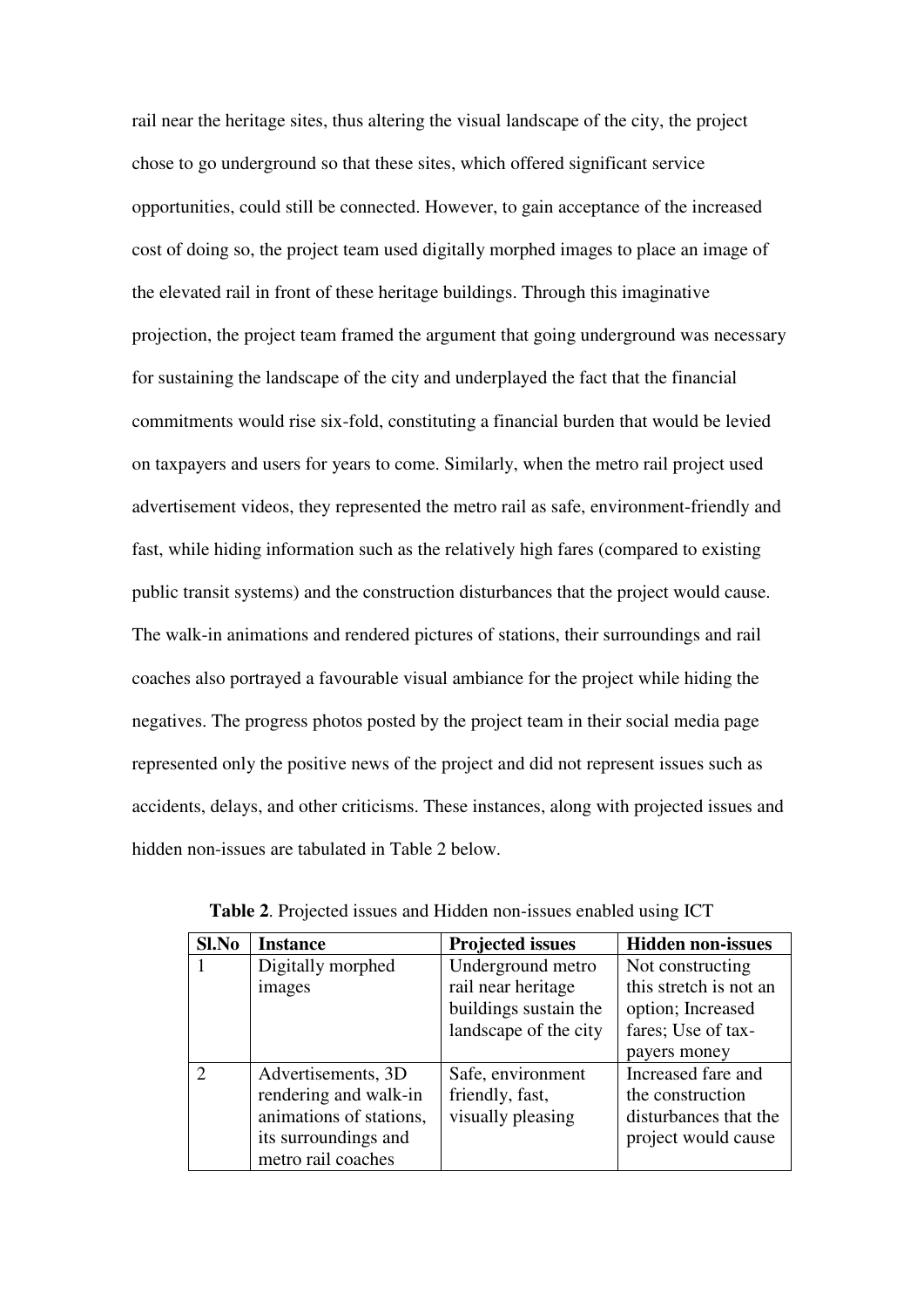rail near the heritage sites, thus altering the visual landscape of the city, the project chose to go underground so that these sites, which offered significant service opportunities, could still be connected. However, to gain acceptance of the increased cost of doing so, the project team used digitally morphed images to place an image of the elevated rail in front of these heritage buildings. Through this imaginative projection, the project team framed the argument that going underground was necessary for sustaining the landscape of the city and underplayed the fact that the financial commitments would rise six-fold, constituting a financial burden that would be levied on taxpayers and users for years to come. Similarly, when the metro rail project used advertisement videos, they represented the metro rail as safe, environment-friendly and fast, while hiding information such as the relatively high fares (compared to existing public transit systems) and the construction disturbances that the project would cause. The walk-in animations and rendered pictures of stations, their surroundings and rail coaches also portrayed a favourable visual ambiance for the project while hiding the negatives. The progress photos posted by the project team in their social media page represented only the positive news of the project and did not represent issues such as accidents, delays, and other criticisms. These instances, along with projected issues and hidden non-issues are tabulated in Table 2 below.

| Sl.No          | <b>Instance</b>         | <b>Projected issues</b> | <b>Hidden non-issues</b> |
|----------------|-------------------------|-------------------------|--------------------------|
|                | Digitally morphed       | Underground metro       | Not constructing         |
|                | images                  | rail near heritage      | this stretch is not an   |
|                |                         | buildings sustain the   | option; Increased        |
|                |                         | landscape of the city   | fares; Use of tax-       |
|                |                         |                         | payers money             |
| $\overline{2}$ | Advertisements, 3D      | Safe, environment       | Increased fare and       |
|                | rendering and walk-in   | friendly, fast,         | the construction         |
|                | animations of stations, | visually pleasing       | disturbances that the    |
|                | its surroundings and    |                         | project would cause      |
|                | metro rail coaches      |                         |                          |

**Table 2**. Projected issues and Hidden non-issues enabled using ICT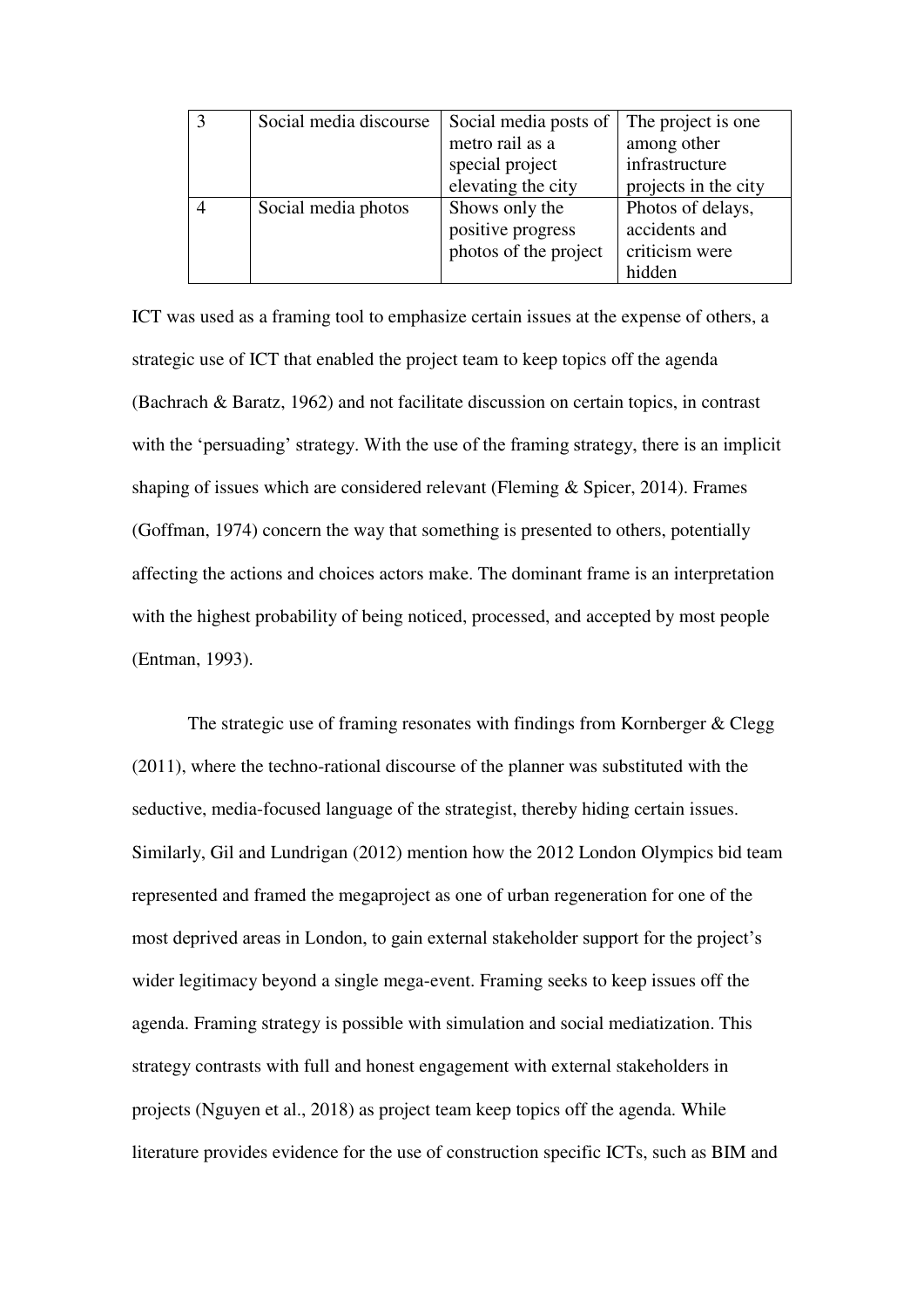| Social media discourse | Social media posts of | The project is one.  |
|------------------------|-----------------------|----------------------|
|                        | metro rail as a       | among other          |
|                        | special project       | infrastructure       |
|                        | elevating the city    | projects in the city |
| Social media photos    | Shows only the        | Photos of delays,    |
|                        | positive progress     | accidents and        |
|                        | photos of the project | criticism were       |
|                        |                       | hidden               |

ICT was used as a framing tool to emphasize certain issues at the expense of others, a strategic use of ICT that enabled the project team to keep topics off the agenda (Bachrach & Baratz, 1962) and not facilitate discussion on certain topics, in contrast with the 'persuading' strategy. With the use of the framing strategy, there is an implicit shaping of issues which are considered relevant (Fleming  $&$  Spicer, 2014). Frames (Goffman, 1974) concern the way that something is presented to others, potentially affecting the actions and choices actors make. The dominant frame is an interpretation with the highest probability of being noticed, processed, and accepted by most people (Entman, 1993).

The strategic use of framing resonates with findings from Kornberger & Clegg (2011), where the techno-rational discourse of the planner was substituted with the seductive, media-focused language of the strategist, thereby hiding certain issues. Similarly, Gil and Lundrigan (2012) mention how the 2012 London Olympics bid team represented and framed the megaproject as one of urban regeneration for one of the most deprived areas in London, to gain external stakeholder support for the project's wider legitimacy beyond a single mega-event. Framing seeks to keep issues off the agenda. Framing strategy is possible with simulation and social mediatization. This strategy contrasts with full and honest engagement with external stakeholders in projects (Nguyen et al., 2018) as project team keep topics off the agenda. While literature provides evidence for the use of construction specific ICTs, such as BIM and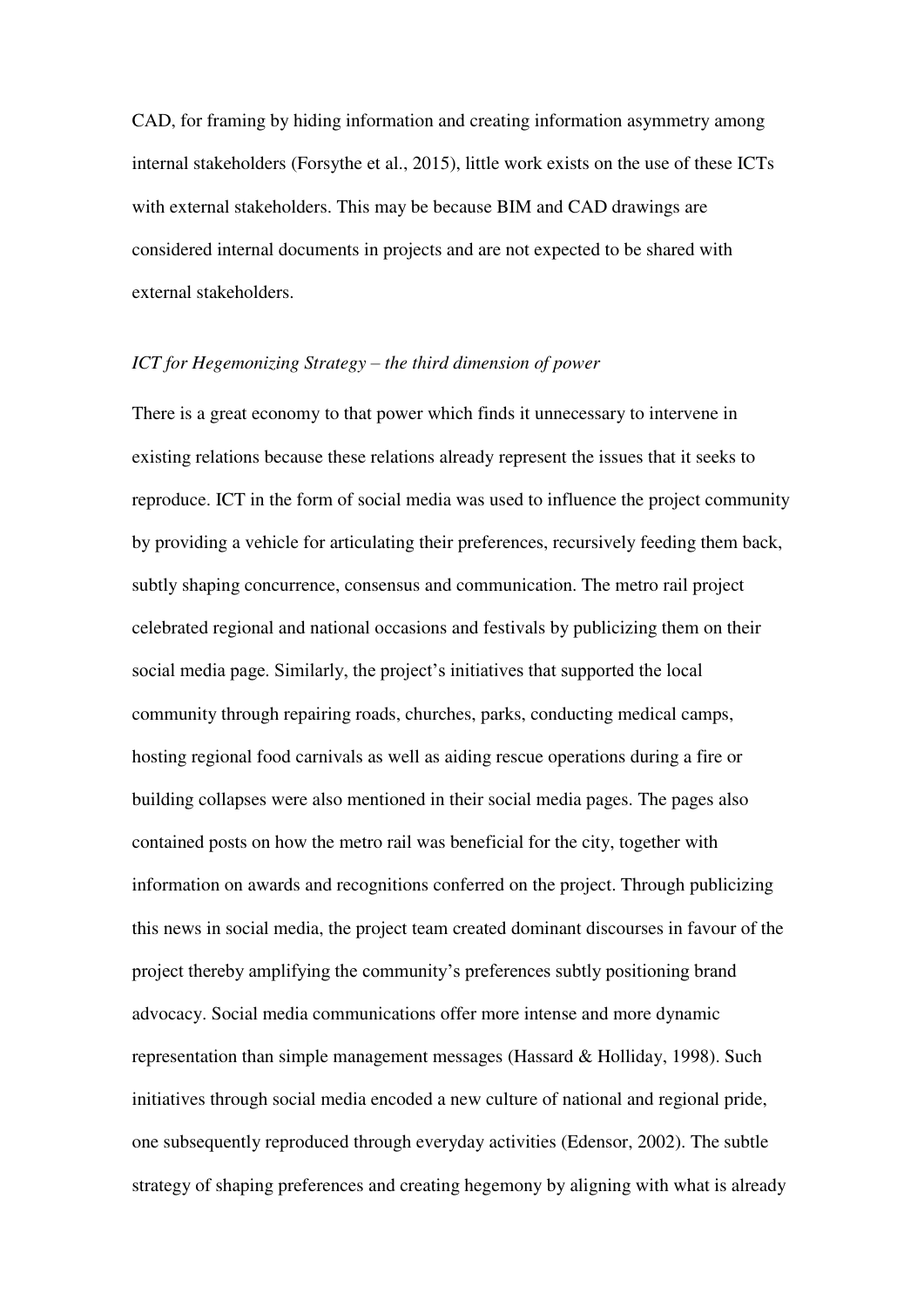CAD, for framing by hiding information and creating information asymmetry among internal stakeholders (Forsythe et al., 2015), little work exists on the use of these ICTs with external stakeholders. This may be because BIM and CAD drawings are considered internal documents in projects and are not expected to be shared with external stakeholders.

#### *ICT for Hegemonizing Strategy – the third dimension of power*

There is a great economy to that power which finds it unnecessary to intervene in existing relations because these relations already represent the issues that it seeks to reproduce. ICT in the form of social media was used to influence the project community by providing a vehicle for articulating their preferences, recursively feeding them back, subtly shaping concurrence, consensus and communication. The metro rail project celebrated regional and national occasions and festivals by publicizing them on their social media page. Similarly, the project's initiatives that supported the local community through repairing roads, churches, parks, conducting medical camps, hosting regional food carnivals as well as aiding rescue operations during a fire or building collapses were also mentioned in their social media pages. The pages also contained posts on how the metro rail was beneficial for the city, together with information on awards and recognitions conferred on the project. Through publicizing this news in social media, the project team created dominant discourses in favour of the project thereby amplifying the community's preferences subtly positioning brand advocacy. Social media communications offer more intense and more dynamic representation than simple management messages (Hassard & Holliday, 1998). Such initiatives through social media encoded a new culture of national and regional pride, one subsequently reproduced through everyday activities (Edensor, 2002). The subtle strategy of shaping preferences and creating hegemony by aligning with what is already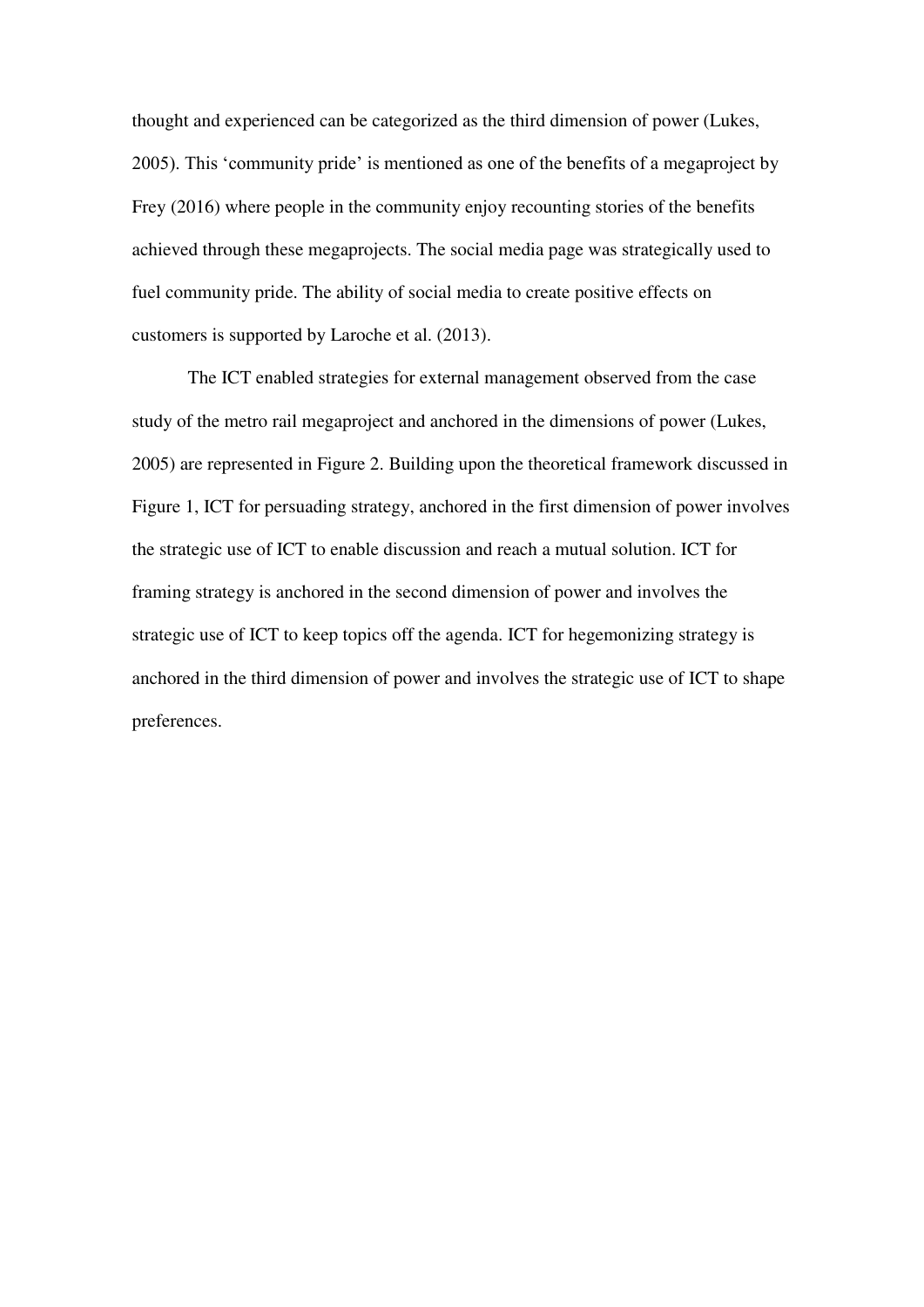thought and experienced can be categorized as the third dimension of power (Lukes, 2005). This 'community pride' is mentioned as one of the benefits of a megaproject by Frey (2016) where people in the community enjoy recounting stories of the benefits achieved through these megaprojects. The social media page was strategically used to fuel community pride. The ability of social media to create positive effects on customers is supported by Laroche et al. (2013).

The ICT enabled strategies for external management observed from the case study of the metro rail megaproject and anchored in the dimensions of power (Lukes, 2005) are represented in Figure 2. Building upon the theoretical framework discussed in Figure 1, ICT for persuading strategy, anchored in the first dimension of power involves the strategic use of ICT to enable discussion and reach a mutual solution. ICT for framing strategy is anchored in the second dimension of power and involves the strategic use of ICT to keep topics off the agenda. ICT for hegemonizing strategy is anchored in the third dimension of power and involves the strategic use of ICT to shape preferences.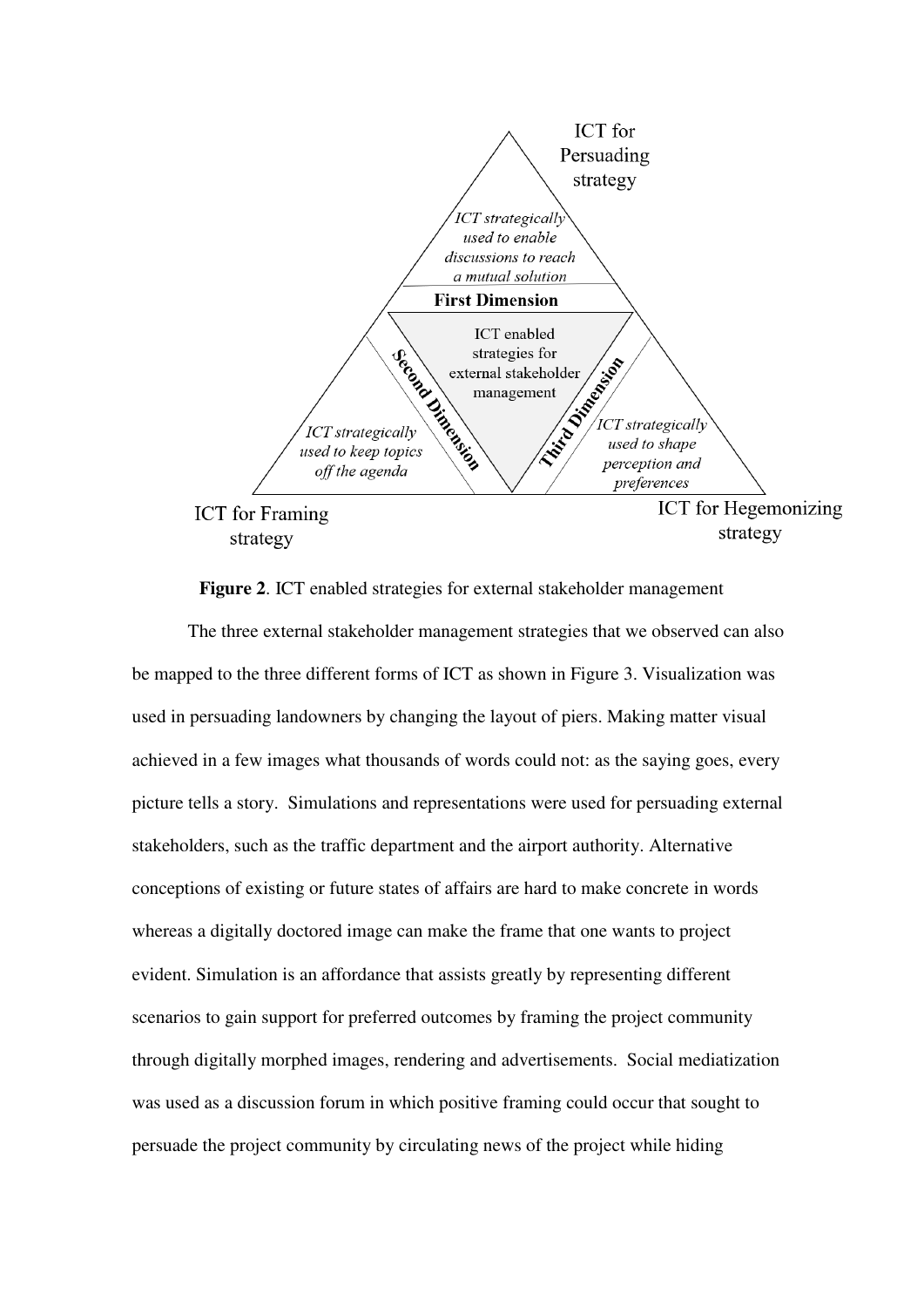

**Figure 2**. ICT enabled strategies for external stakeholder management

The three external stakeholder management strategies that we observed can also be mapped to the three different forms of ICT as shown in Figure 3. Visualization was used in persuading landowners by changing the layout of piers. Making matter visual achieved in a few images what thousands of words could not: as the saying goes, every picture tells a story. Simulations and representations were used for persuading external stakeholders, such as the traffic department and the airport authority. Alternative conceptions of existing or future states of affairs are hard to make concrete in words whereas a digitally doctored image can make the frame that one wants to project evident. Simulation is an affordance that assists greatly by representing different scenarios to gain support for preferred outcomes by framing the project community through digitally morphed images, rendering and advertisements. Social mediatization was used as a discussion forum in which positive framing could occur that sought to persuade the project community by circulating news of the project while hiding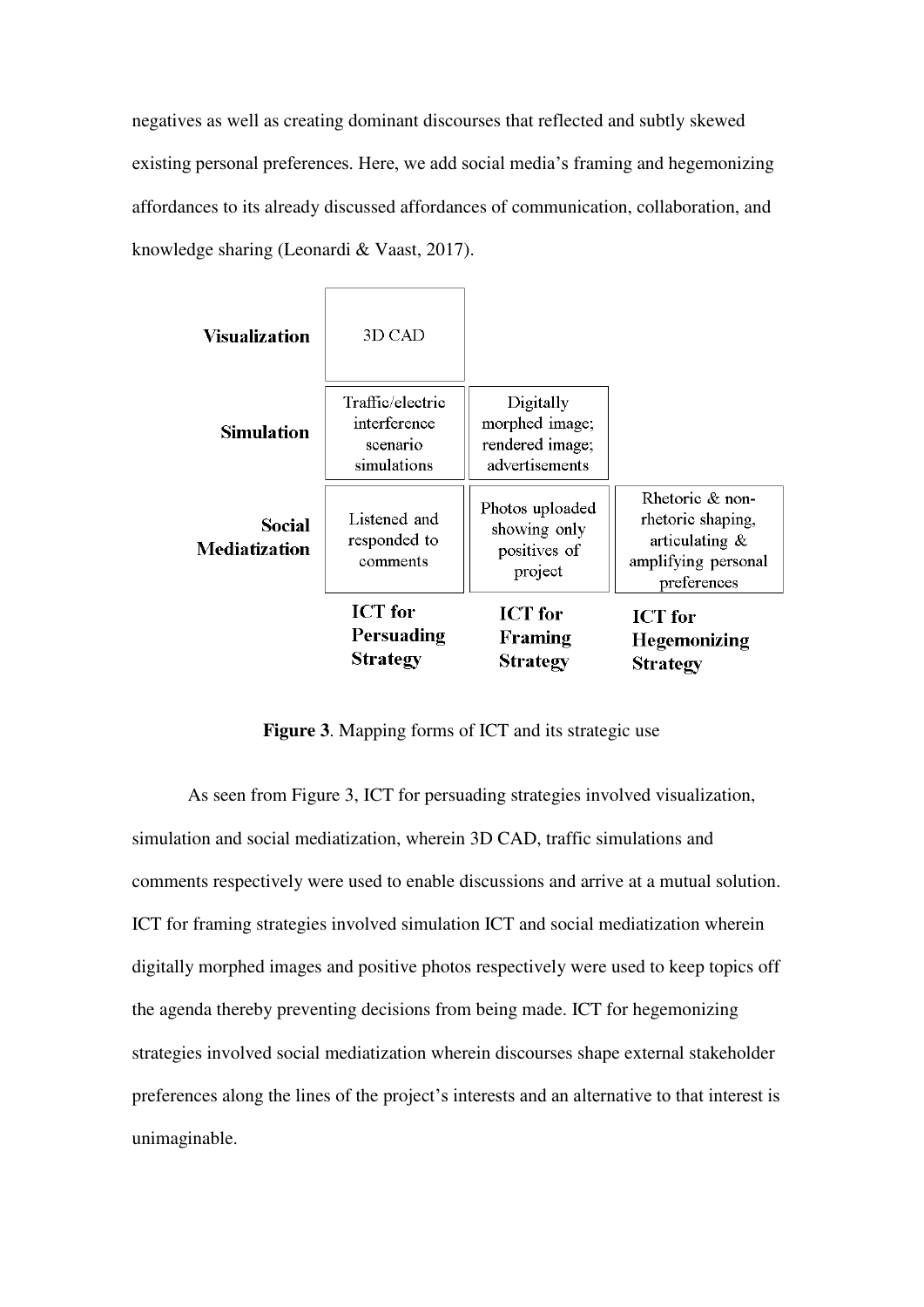negatives as well as creating dominant discourses that reflected and subtly skewed existing personal preferences. Here, we add social media's framing and hegemonizing affordances to its already discussed affordances of communication, collaboration, and knowledge sharing (Leonardi & Vaast, 2017).

| Visualization                         | 3D CAD                                                      |                                                                  |                                                                                                 |
|---------------------------------------|-------------------------------------------------------------|------------------------------------------------------------------|-------------------------------------------------------------------------------------------------|
| <b>Simulation</b>                     | Traffic/electric<br>interference<br>scenario<br>simulations | Digitally<br>morphed image;<br>rendered image;<br>advertisements |                                                                                                 |
| <b>Social</b><br><b>Mediatization</b> | Listened and<br>responded to<br>comments                    | Photos uploaded<br>showing only<br>positives of<br>project       | Rhetoric & non-<br>rhetoric shaping,<br>articulating $\&$<br>amplifying personal<br>preferences |
|                                       | <b>ICT</b> for<br>Persuading<br><b>Strategy</b>             | <b>ICT</b> for<br>Framing<br><b>Strategy</b>                     | <b>ICT</b> for<br><b>Hegemonizing</b><br><b>Strategy</b>                                        |

**Figure 3**. Mapping forms of ICT and its strategic use

As seen from Figure 3, ICT for persuading strategies involved visualization, simulation and social mediatization, wherein 3D CAD, traffic simulations and comments respectively were used to enable discussions and arrive at a mutual solution. ICT for framing strategies involved simulation ICT and social mediatization wherein digitally morphed images and positive photos respectively were used to keep topics off the agenda thereby preventing decisions from being made. ICT for hegemonizing strategies involved social mediatization wherein discourses shape external stakeholder preferences along the lines of the project's interests and an alternative to that interest is unimaginable.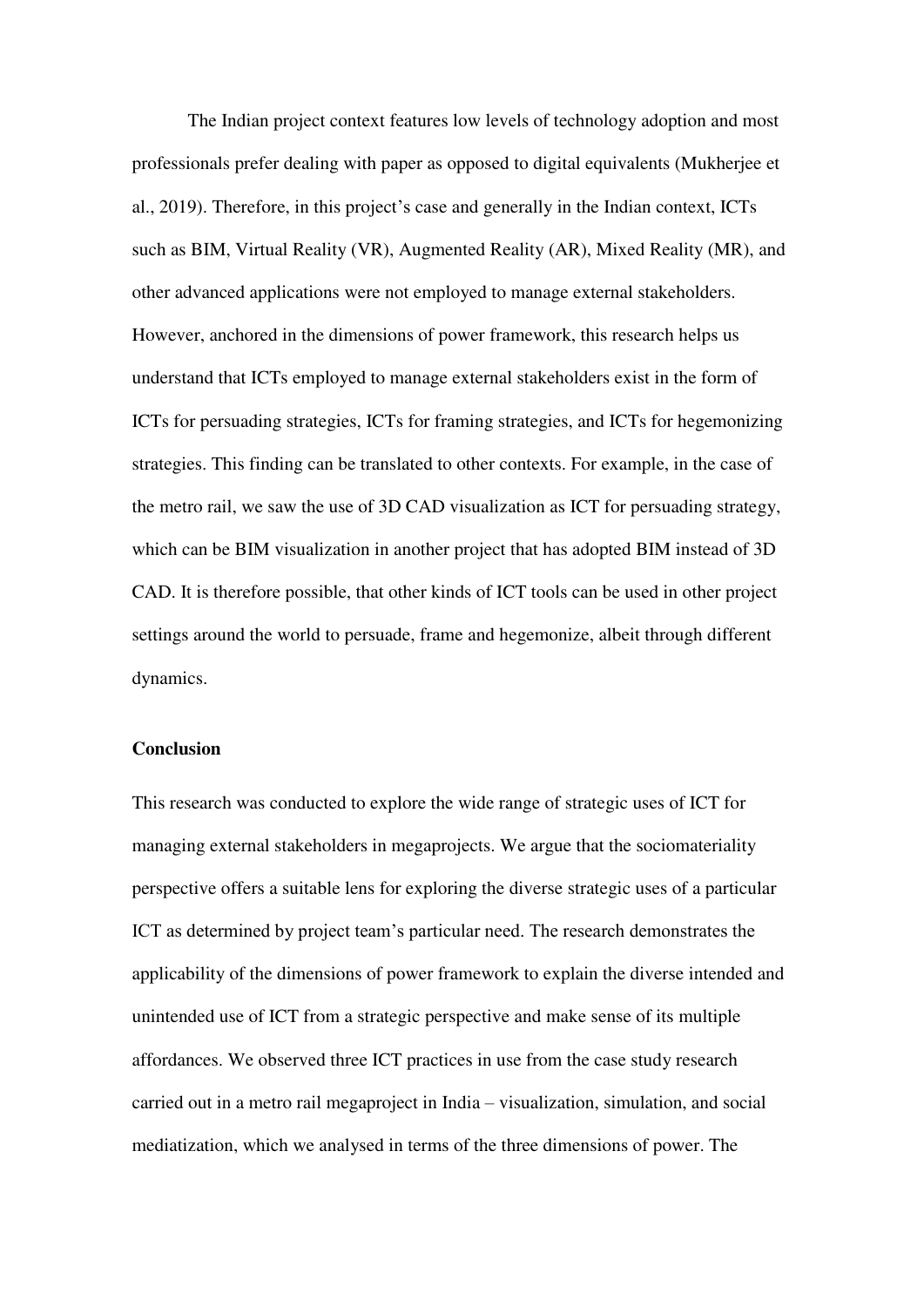The Indian project context features low levels of technology adoption and most professionals prefer dealing with paper as opposed to digital equivalents (Mukherjee et al., 2019). Therefore, in this project's case and generally in the Indian context, ICTs such as BIM, Virtual Reality (VR), Augmented Reality (AR), Mixed Reality (MR), and other advanced applications were not employed to manage external stakeholders. However, anchored in the dimensions of power framework, this research helps us understand that ICTs employed to manage external stakeholders exist in the form of ICTs for persuading strategies, ICTs for framing strategies, and ICTs for hegemonizing strategies. This finding can be translated to other contexts. For example, in the case of the metro rail, we saw the use of 3D CAD visualization as ICT for persuading strategy, which can be BIM visualization in another project that has adopted BIM instead of 3D CAD. It is therefore possible, that other kinds of ICT tools can be used in other project settings around the world to persuade, frame and hegemonize, albeit through different dynamics.

#### **Conclusion**

This research was conducted to explore the wide range of strategic uses of ICT for managing external stakeholders in megaprojects. We argue that the sociomateriality perspective offers a suitable lens for exploring the diverse strategic uses of a particular ICT as determined by project team's particular need. The research demonstrates the applicability of the dimensions of power framework to explain the diverse intended and unintended use of ICT from a strategic perspective and make sense of its multiple affordances. We observed three ICT practices in use from the case study research carried out in a metro rail megaproject in India – visualization, simulation, and social mediatization, which we analysed in terms of the three dimensions of power. The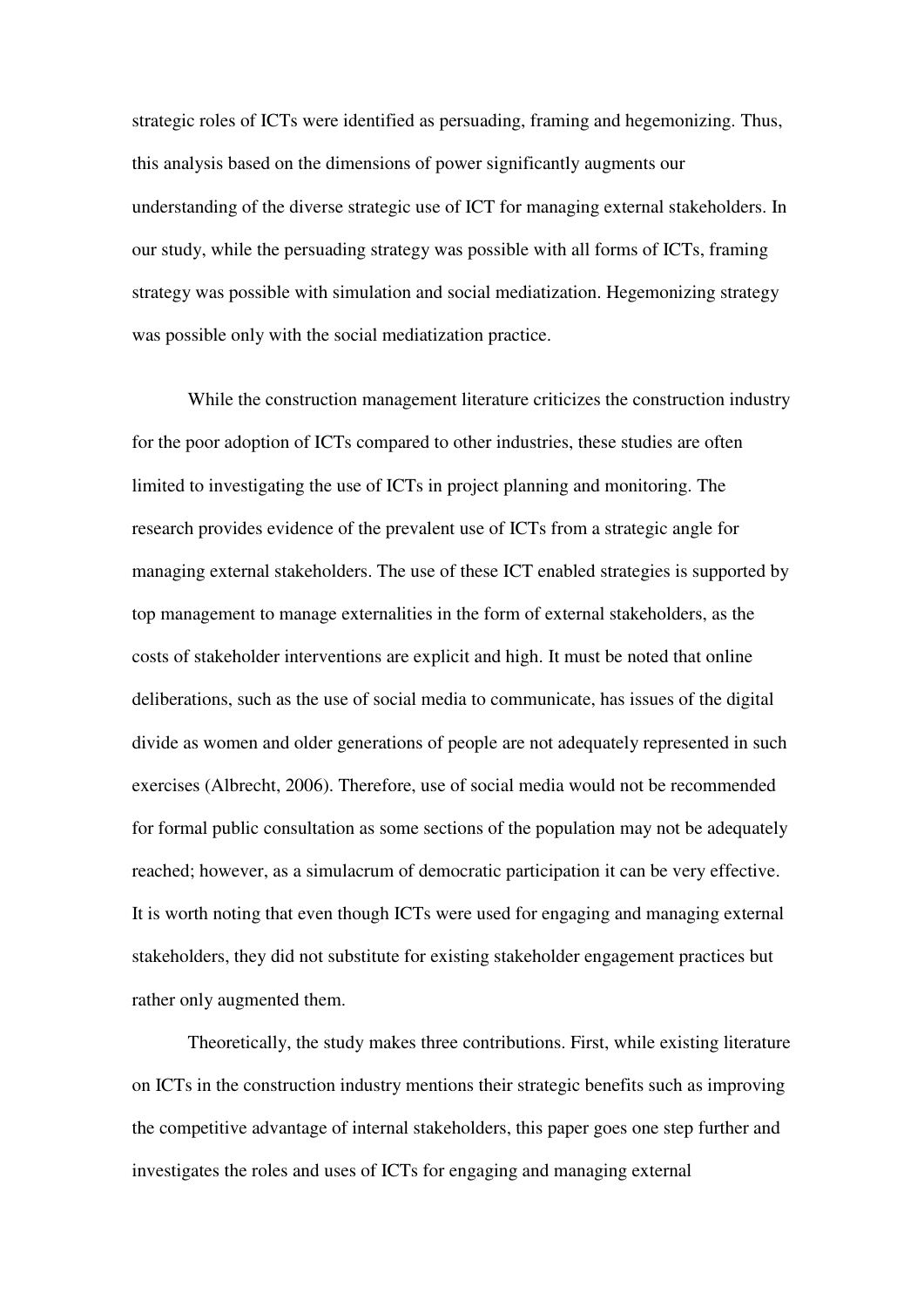strategic roles of ICTs were identified as persuading, framing and hegemonizing. Thus, this analysis based on the dimensions of power significantly augments our understanding of the diverse strategic use of ICT for managing external stakeholders. In our study, while the persuading strategy was possible with all forms of ICTs, framing strategy was possible with simulation and social mediatization. Hegemonizing strategy was possible only with the social mediatization practice.

While the construction management literature criticizes the construction industry for the poor adoption of ICTs compared to other industries, these studies are often limited to investigating the use of ICTs in project planning and monitoring. The research provides evidence of the prevalent use of ICTs from a strategic angle for managing external stakeholders. The use of these ICT enabled strategies is supported by top management to manage externalities in the form of external stakeholders, as the costs of stakeholder interventions are explicit and high. It must be noted that online deliberations, such as the use of social media to communicate, has issues of the digital divide as women and older generations of people are not adequately represented in such exercises (Albrecht, 2006). Therefore, use of social media would not be recommended for formal public consultation as some sections of the population may not be adequately reached; however, as a simulacrum of democratic participation it can be very effective. It is worth noting that even though ICTs were used for engaging and managing external stakeholders, they did not substitute for existing stakeholder engagement practices but rather only augmented them.

Theoretically, the study makes three contributions. First, while existing literature on ICTs in the construction industry mentions their strategic benefits such as improving the competitive advantage of internal stakeholders, this paper goes one step further and investigates the roles and uses of ICTs for engaging and managing external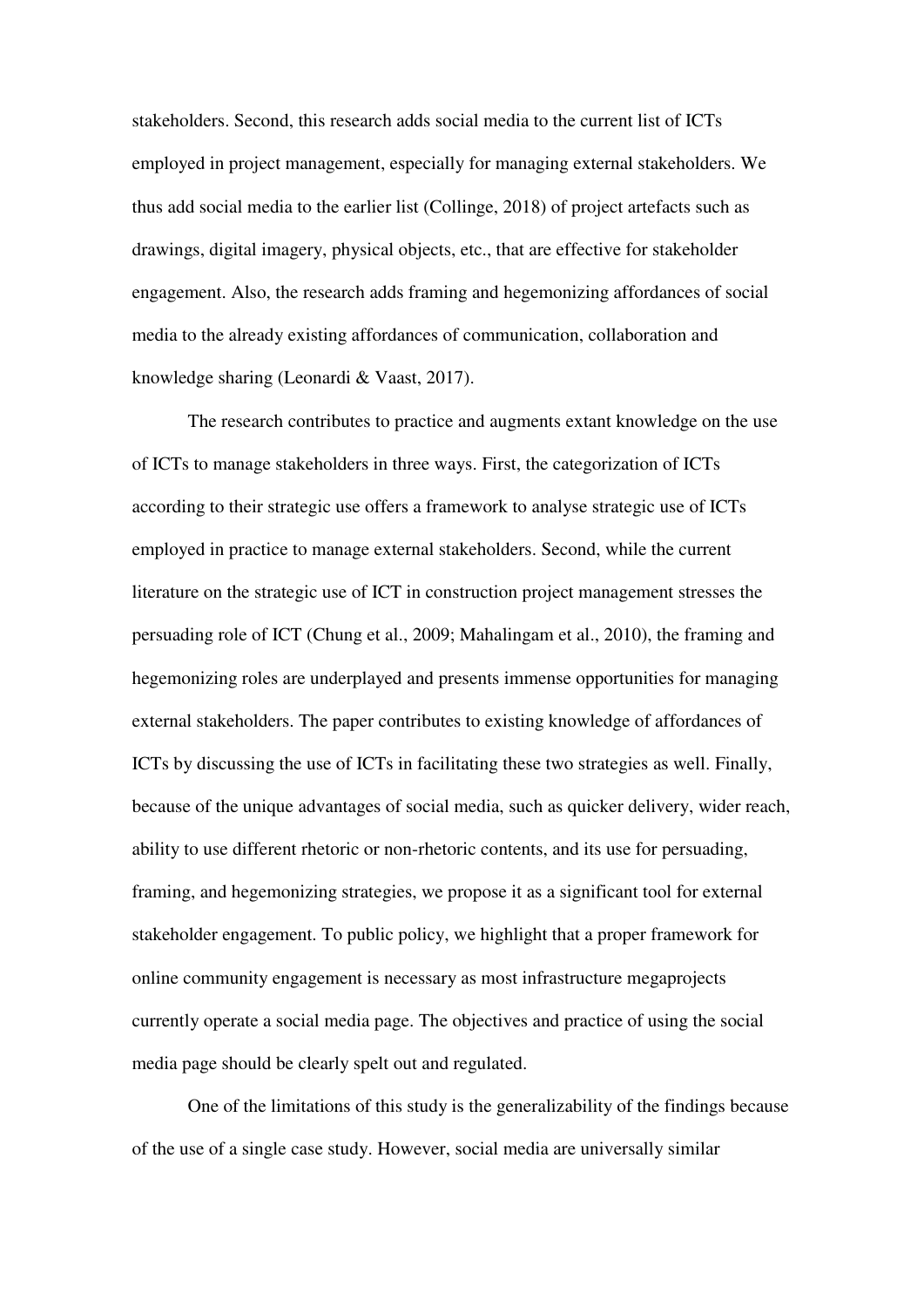stakeholders. Second, this research adds social media to the current list of ICTs employed in project management, especially for managing external stakeholders. We thus add social media to the earlier list (Collinge, 2018) of project artefacts such as drawings, digital imagery, physical objects, etc., that are effective for stakeholder engagement. Also, the research adds framing and hegemonizing affordances of social media to the already existing affordances of communication, collaboration and knowledge sharing (Leonardi & Vaast, 2017).

The research contributes to practice and augments extant knowledge on the use of ICTs to manage stakeholders in three ways. First, the categorization of ICTs according to their strategic use offers a framework to analyse strategic use of ICTs employed in practice to manage external stakeholders. Second, while the current literature on the strategic use of ICT in construction project management stresses the persuading role of ICT (Chung et al., 2009; Mahalingam et al., 2010), the framing and hegemonizing roles are underplayed and presents immense opportunities for managing external stakeholders. The paper contributes to existing knowledge of affordances of ICTs by discussing the use of ICTs in facilitating these two strategies as well. Finally, because of the unique advantages of social media, such as quicker delivery, wider reach, ability to use different rhetoric or non-rhetoric contents, and its use for persuading, framing, and hegemonizing strategies, we propose it as a significant tool for external stakeholder engagement. To public policy, we highlight that a proper framework for online community engagement is necessary as most infrastructure megaprojects currently operate a social media page. The objectives and practice of using the social media page should be clearly spelt out and regulated.

One of the limitations of this study is the generalizability of the findings because of the use of a single case study. However, social media are universally similar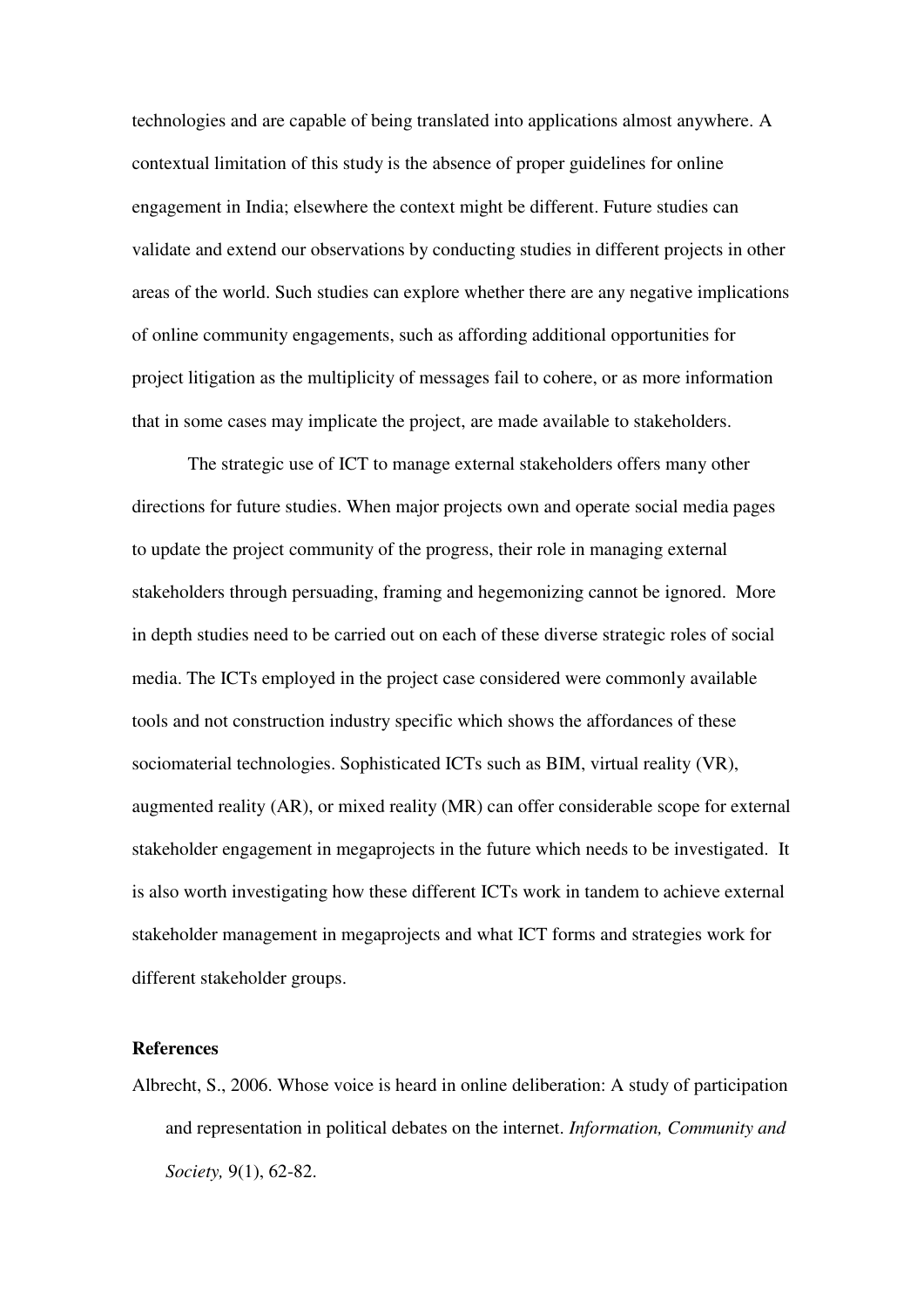technologies and are capable of being translated into applications almost anywhere. A contextual limitation of this study is the absence of proper guidelines for online engagement in India; elsewhere the context might be different. Future studies can validate and extend our observations by conducting studies in different projects in other areas of the world. Such studies can explore whether there are any negative implications of online community engagements, such as affording additional opportunities for project litigation as the multiplicity of messages fail to cohere, or as more information that in some cases may implicate the project, are made available to stakeholders.

The strategic use of ICT to manage external stakeholders offers many other directions for future studies. When major projects own and operate social media pages to update the project community of the progress, their role in managing external stakeholders through persuading, framing and hegemonizing cannot be ignored. More in depth studies need to be carried out on each of these diverse strategic roles of social media. The ICTs employed in the project case considered were commonly available tools and not construction industry specific which shows the affordances of these sociomaterial technologies. Sophisticated ICTs such as BIM, virtual reality (VR), augmented reality (AR), or mixed reality (MR) can offer considerable scope for external stakeholder engagement in megaprojects in the future which needs to be investigated. It is also worth investigating how these different ICTs work in tandem to achieve external stakeholder management in megaprojects and what ICT forms and strategies work for different stakeholder groups.

## **References**

Albrecht, S., 2006. Whose voice is heard in online deliberation: A study of participation and representation in political debates on the internet. *Information, Community and Society,* 9(1), 62-82.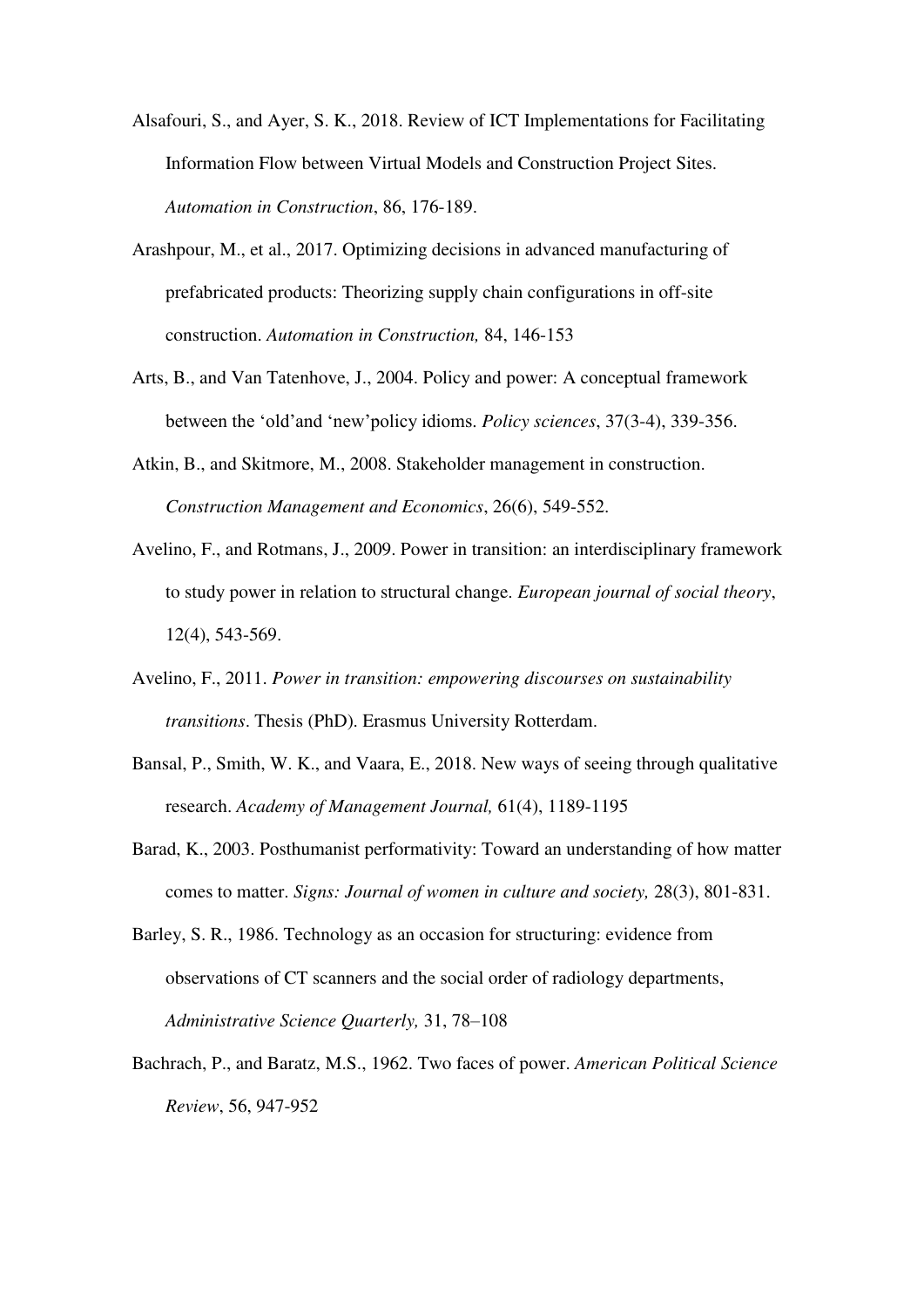- Alsafouri, S., and Ayer, S. K., 2018. Review of ICT Implementations for Facilitating Information Flow between Virtual Models and Construction Project Sites. *Automation in Construction*, 86, 176-189.
- Arashpour, M., et al., 2017. Optimizing decisions in advanced manufacturing of prefabricated products: Theorizing supply chain configurations in off-site construction. *Automation in Construction,* 84, 146-153
- Arts, B., and Van Tatenhove, J., 2004. Policy and power: A conceptual framework between the 'old'and 'new'policy idioms. *Policy sciences*, 37(3-4), 339-356.
- Atkin, B., and Skitmore, M., 2008. Stakeholder management in construction. *Construction Management and Economics*, 26(6), 549-552.
- Avelino, F., and Rotmans, J., 2009. Power in transition: an interdisciplinary framework to study power in relation to structural change. *European journal of social theory*, 12(4), 543-569.
- Avelino, F., 2011. *Power in transition: empowering discourses on sustainability transitions*. Thesis (PhD). Erasmus University Rotterdam.
- Bansal, P., Smith, W. K., and Vaara, E., 2018. New ways of seeing through qualitative research. *Academy of Management Journal,* 61(4), 1189-1195
- Barad, K., 2003. Posthumanist performativity: Toward an understanding of how matter comes to matter. *Signs: Journal of women in culture and society,* 28(3), 801-831.
- Barley, S. R., 1986. Technology as an occasion for structuring: evidence from observations of CT scanners and the social order of radiology departments, *Administrative Science Quarterly,* 31, 78–108
- Bachrach, P., and Baratz, M.S., 1962. Two faces of power. *American Political Science Review*, 56, 947-952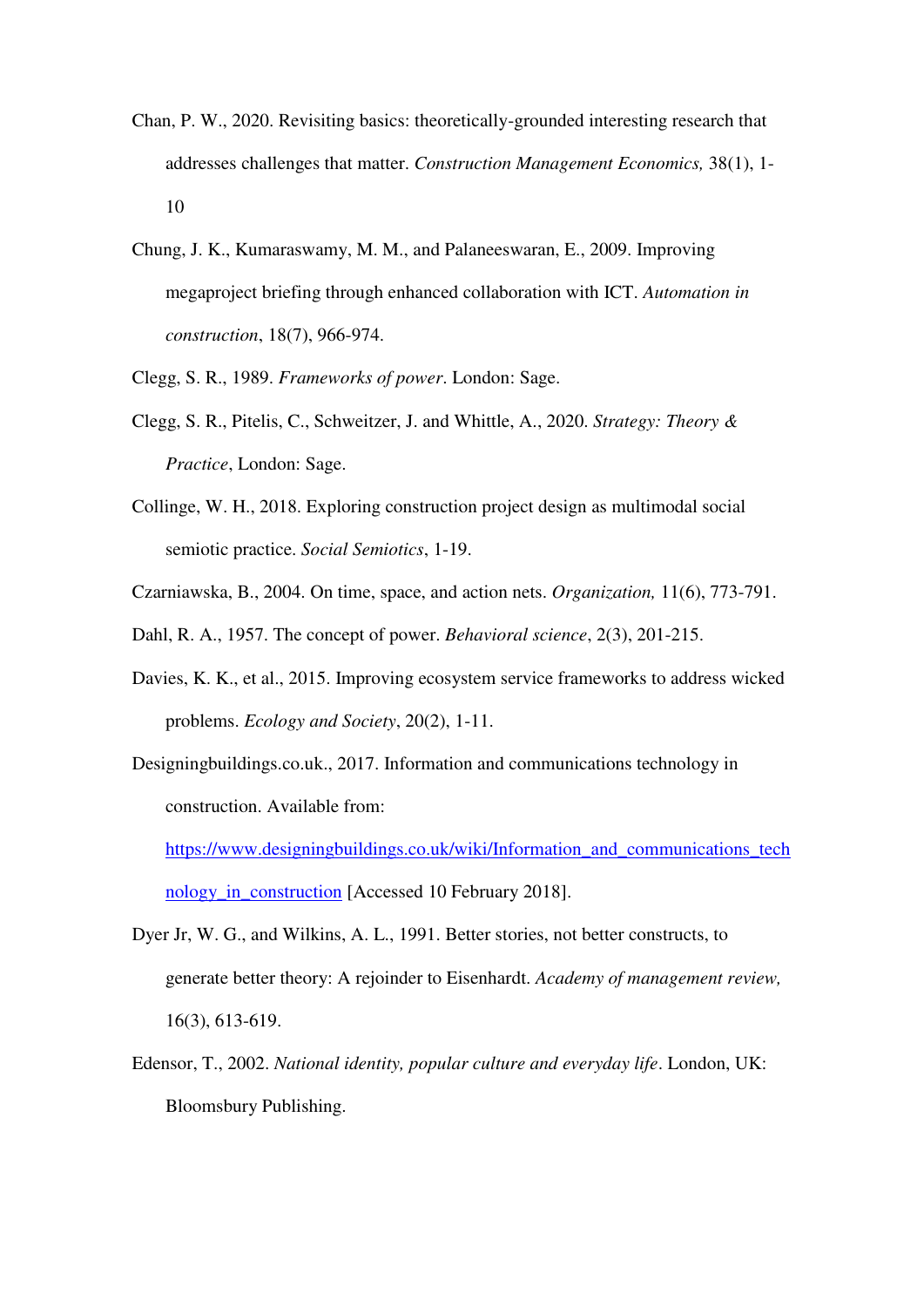- Chan, P. W., 2020. Revisiting basics: theoretically-grounded interesting research that addresses challenges that matter. *Construction Management Economics,* 38(1), 1- 10
- Chung, J. K., Kumaraswamy, M. M., and Palaneeswaran, E., 2009. Improving megaproject briefing through enhanced collaboration with ICT. *Automation in construction*, 18(7), 966-974.
- Clegg, S. R., 1989. *Frameworks of power*. London: Sage.
- Clegg, S. R., Pitelis, C., Schweitzer, J. and Whittle, A., 2020. *Strategy: Theory & Practice*, London: Sage.
- Collinge, W. H., 2018. Exploring construction project design as multimodal social semiotic practice. *Social Semiotics*, 1-19.
- Czarniawska, B., 2004. On time, space, and action nets. *Organization,* 11(6), 773-791.
- Dahl, R. A., 1957. The concept of power. *Behavioral science*, 2(3), 201-215.
- Davies, K. K., et al., 2015. Improving ecosystem service frameworks to address wicked problems. *Ecology and Society*, 20(2), 1-11.
- Designingbuildings.co.uk., 2017. Information and communications technology in construction. Available from:

[https://www.designingbuildings.co.uk/wiki/Information\\_and\\_communications\\_tech](https://www.designingbuildings.co.uk/wiki/Information_and_communications_technology_in_construction) [nology\\_in\\_construction](https://www.designingbuildings.co.uk/wiki/Information_and_communications_technology_in_construction) [Accessed 10 February 2018].

- Dyer Jr, W. G., and Wilkins, A. L., 1991. Better stories, not better constructs, to generate better theory: A rejoinder to Eisenhardt. *Academy of management review,*  16(3), 613-619.
- Edensor, T., 2002. *National identity, popular culture and everyday life*. London, UK: Bloomsbury Publishing.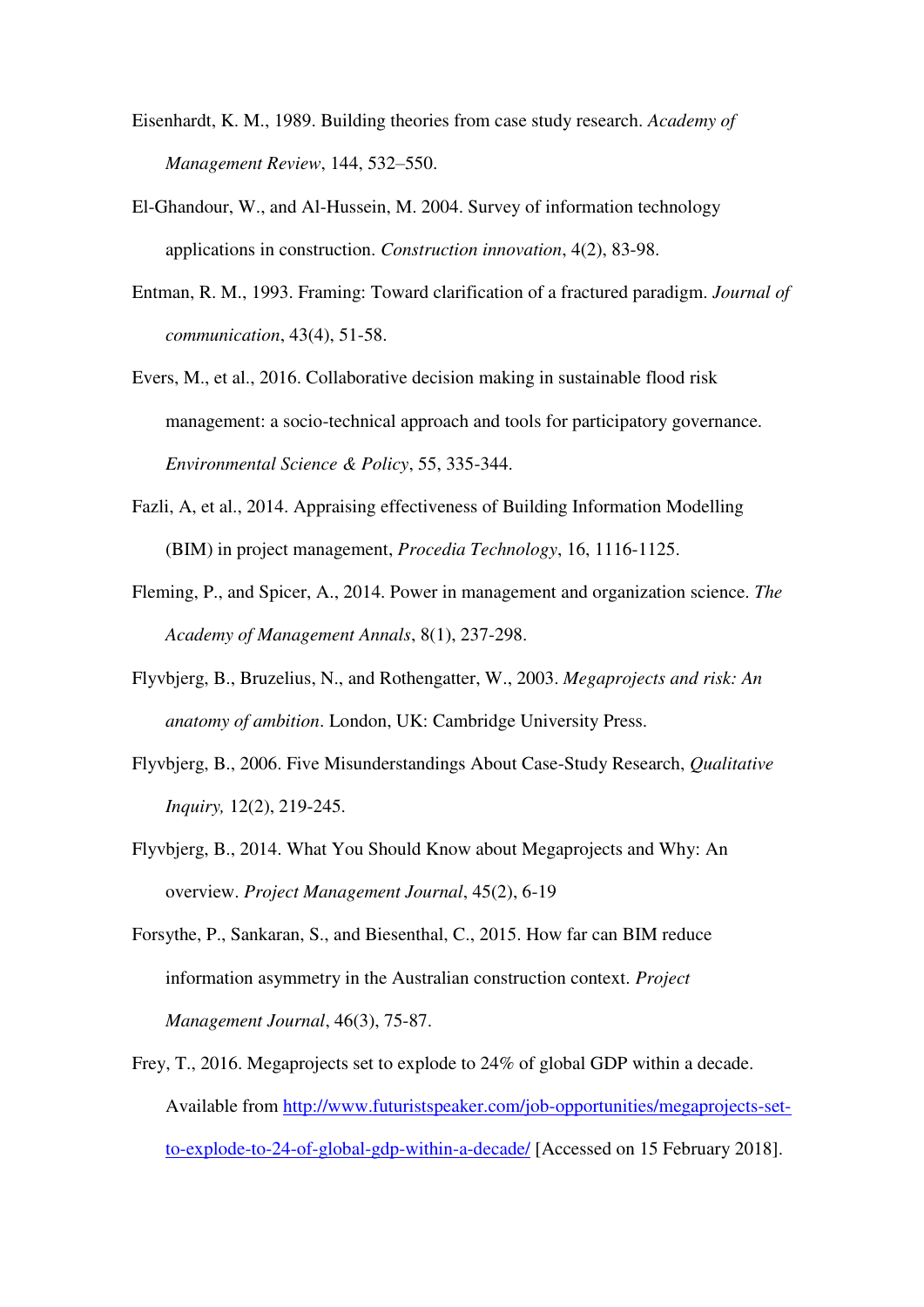- Eisenhardt, K. M., 1989. Building theories from case study research. *Academy of Management Review*, 144, 532–550.
- El-Ghandour, W., and Al-Hussein, M. 2004. Survey of information technology applications in construction. *Construction innovation*, 4(2), 83-98.
- Entman, R. M., 1993. Framing: Toward clarification of a fractured paradigm. *Journal of communication*, 43(4), 51-58.
- Evers, M., et al., 2016. Collaborative decision making in sustainable flood risk management: a socio-technical approach and tools for participatory governance. *Environmental Science & Policy*, 55, 335-344.
- Fazli, A, et al., 2014. Appraising effectiveness of Building Information Modelling (BIM) in project management, *Procedia Technology*, 16, 1116-1125.
- Fleming, P., and Spicer, A., 2014. Power in management and organization science. *The Academy of Management Annals*, 8(1), 237-298.
- Flyvbjerg, B., Bruzelius, N., and Rothengatter, W., 2003. *Megaprojects and risk: An anatomy of ambition*. London, UK: Cambridge University Press.
- Flyvbjerg, B., 2006. Five Misunderstandings About Case-Study Research, *Qualitative Inquiry,* 12(2), 219-245.
- Flyvbjerg, B., 2014. What You Should Know about Megaprojects and Why: An overview. *Project Management Journal*, 45(2), 6-19
- Forsythe, P., Sankaran, S., and Biesenthal, C., 2015. How far can BIM reduce information asymmetry in the Australian construction context. *Project Management Journal*, 46(3), 75-87.
- Frey, T., 2016. Megaprojects set to explode to 24% of global GDP within a decade. Available from [http://www.futuristspeaker.com/job-opportunities/megaprojects-set](http://www.futuristspeaker.com/job-opportunities/megaprojects-set-to-explode-to-24-of-global-gdp-within-a-decade/)[to-explode-to-24-of-global-gdp-within-a-decade/](http://www.futuristspeaker.com/job-opportunities/megaprojects-set-to-explode-to-24-of-global-gdp-within-a-decade/) [Accessed on 15 February 2018].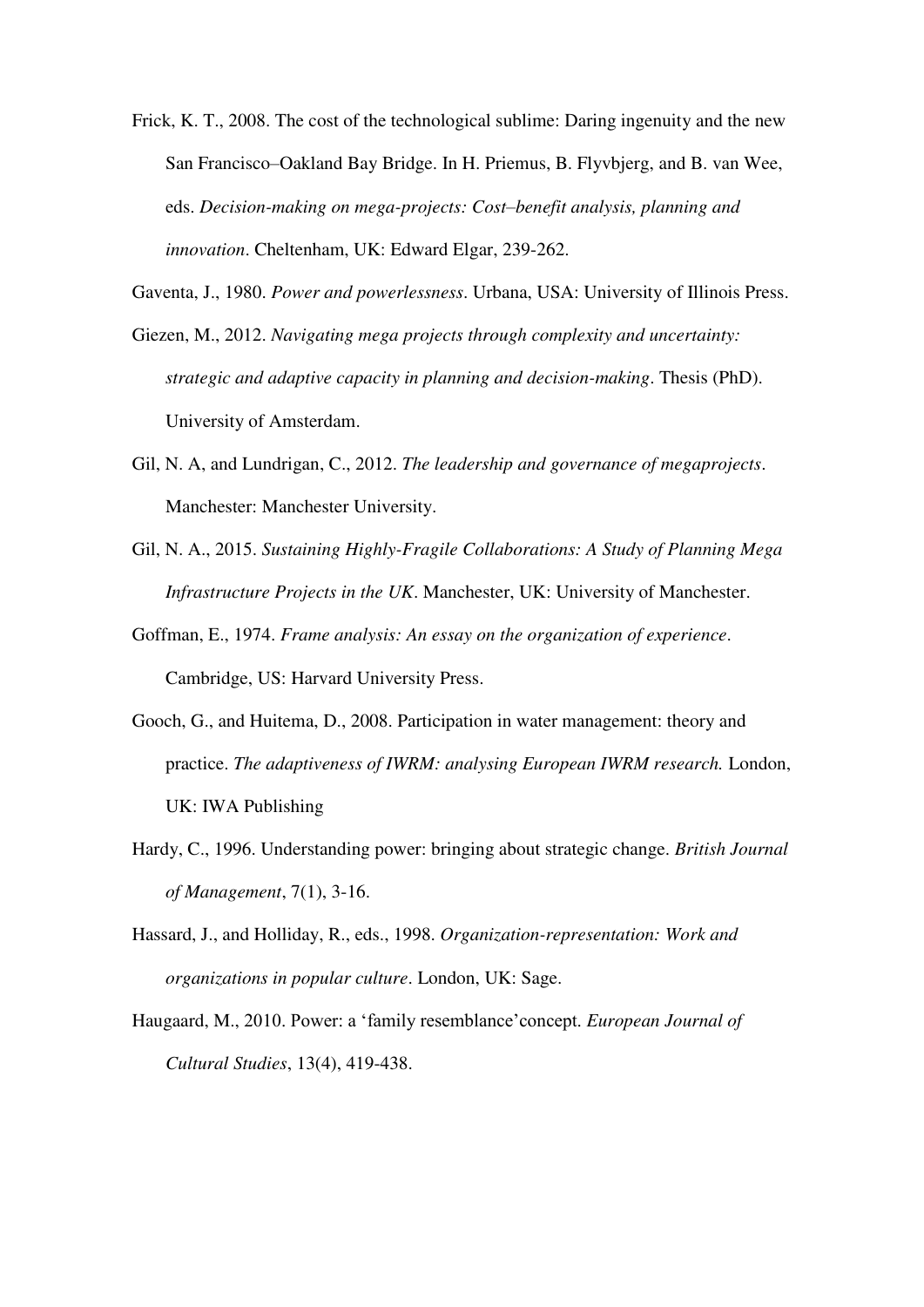- Frick, K. T., 2008. The cost of the technological sublime: Daring ingenuity and the new San Francisco–Oakland Bay Bridge. In H. Priemus, B. Flyvbjerg, and B. van Wee, eds. *Decision-making on mega-projects: Cost–benefit analysis, planning and innovation*. Cheltenham, UK: Edward Elgar, 239-262.
- Gaventa, J., 1980. *Power and powerlessness*. Urbana, USA: University of Illinois Press.
- Giezen, M., 2012. *Navigating mega projects through complexity and uncertainty: strategic and adaptive capacity in planning and decision-making*. Thesis (PhD). University of Amsterdam.
- Gil, N. A, and Lundrigan, C., 2012. *The leadership and governance of megaprojects*. Manchester: Manchester University.
- Gil, N. A., 2015. *Sustaining Highly-Fragile Collaborations: A Study of Planning Mega Infrastructure Projects in the UK*. Manchester, UK: University of Manchester.
- Goffman, E., 1974. *Frame analysis: An essay on the organization of experience*. Cambridge, US: Harvard University Press.
- Gooch, G., and Huitema, D., 2008. Participation in water management: theory and practice. *The adaptiveness of IWRM: analysing European IWRM research.* London, UK: IWA Publishing
- Hardy, C., 1996. Understanding power: bringing about strategic change. *British Journal of Management*, 7(1), 3-16.
- Hassard, J., and Holliday, R., eds., 1998. *Organization-representation: Work and organizations in popular culture*. London, UK: Sage.
- Haugaard, M., 2010. Power: a 'family resemblance'concept. *European Journal of Cultural Studies*, 13(4), 419-438.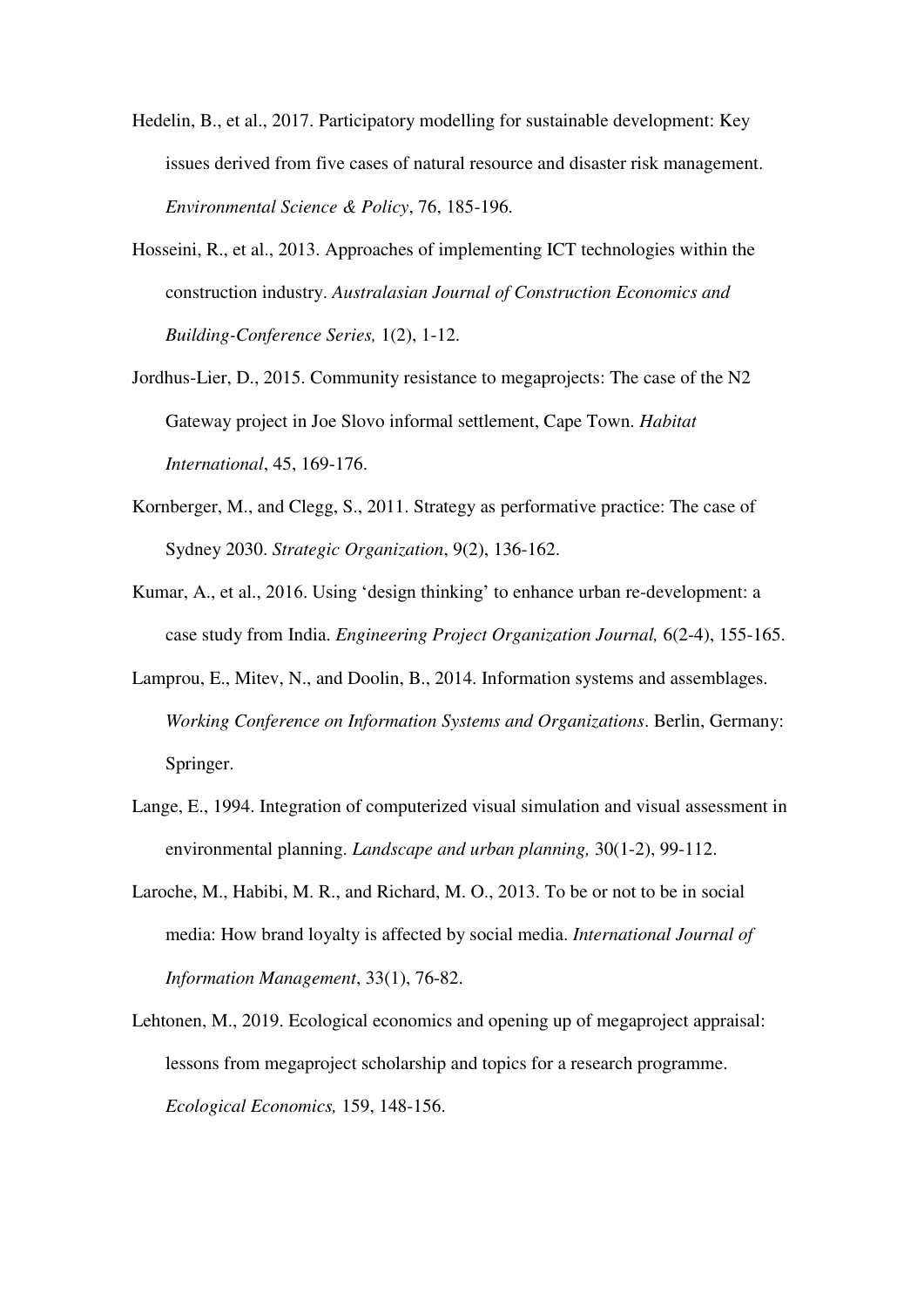- Hedelin, B., et al., 2017. Participatory modelling for sustainable development: Key issues derived from five cases of natural resource and disaster risk management. *Environmental Science & Policy*, 76, 185-196.
- Hosseini, R., et al., 2013. Approaches of implementing ICT technologies within the construction industry. *Australasian Journal of Construction Economics and Building-Conference Series,* 1(2), 1-12.
- Jordhus-Lier, D., 2015. Community resistance to megaprojects: The case of the N2 Gateway project in Joe Slovo informal settlement, Cape Town. *Habitat International*, 45, 169-176.
- Kornberger, M., and Clegg, S., 2011. Strategy as performative practice: The case of Sydney 2030. *Strategic Organization*, 9(2), 136-162.
- Kumar, A., et al., 2016. Using 'design thinking' to enhance urban re-development: a case study from India. *Engineering Project Organization Journal,* 6(2-4), 155-165.
- Lamprou, E., Mitev, N., and Doolin, B., 2014. Information systems and assemblages. *Working Conference on Information Systems and Organizations*. Berlin, Germany: Springer.
- Lange, E., 1994. Integration of computerized visual simulation and visual assessment in environmental planning. *Landscape and urban planning,* 30(1-2), 99-112.
- Laroche, M., Habibi, M. R., and Richard, M. O., 2013. To be or not to be in social media: How brand loyalty is affected by social media. *International Journal of Information Management*, 33(1), 76-82.
- Lehtonen, M., 2019. Ecological economics and opening up of megaproject appraisal: lessons from megaproject scholarship and topics for a research programme. *Ecological Economics,* 159, 148-156.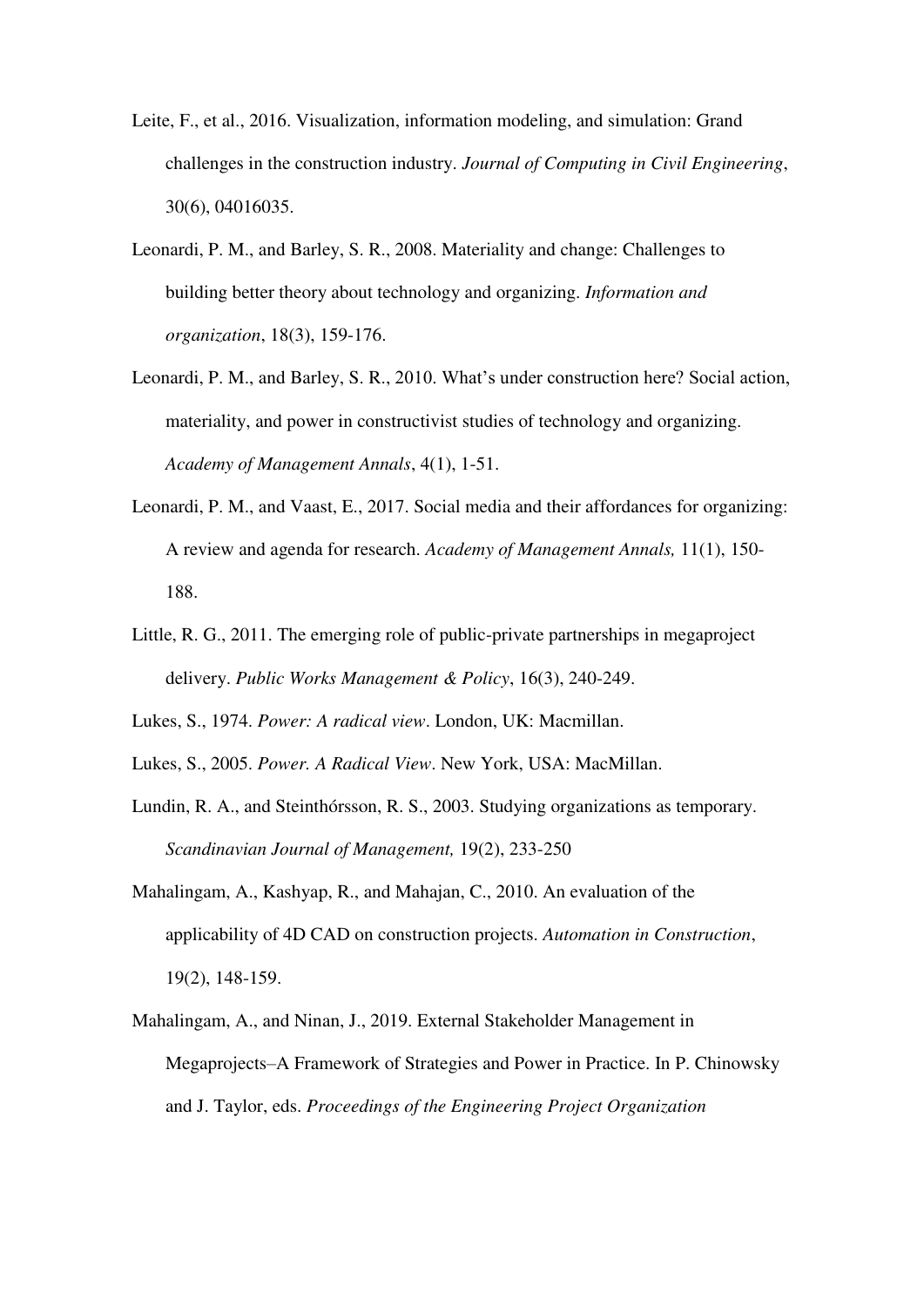- Leite, F., et al., 2016. Visualization, information modeling, and simulation: Grand challenges in the construction industry. *Journal of Computing in Civil Engineering*, 30(6), 04016035.
- Leonardi, P. M., and Barley, S. R., 2008. Materiality and change: Challenges to building better theory about technology and organizing. *Information and organization*, 18(3), 159-176.
- Leonardi, P. M., and Barley, S. R., 2010. What's under construction here? Social action, materiality, and power in constructivist studies of technology and organizing. *Academy of Management Annals*, 4(1), 1-51.
- Leonardi, P. M., and Vaast, E., 2017. Social media and their affordances for organizing: A review and agenda for research. *Academy of Management Annals,* 11(1), 150- 188.
- Little, R. G., 2011. The emerging role of public-private partnerships in megaproject delivery. *Public Works Management & Policy*, 16(3), 240-249.
- Lukes, S., 1974. *Power: A radical view*. London, UK: Macmillan.
- Lukes, S., 2005. *Power. A Radical View*. New York, USA: MacMillan.
- Lundin, R. A., and Steinthórsson, R. S., 2003. Studying organizations as temporary. *Scandinavian Journal of Management,* 19(2), 233-250
- Mahalingam, A., Kashyap, R., and Mahajan, C., 2010. An evaluation of the applicability of 4D CAD on construction projects. *Automation in Construction*, 19(2), 148-159.
- Mahalingam, A., and Ninan, J., 2019. External Stakeholder Management in Megaprojects–A Framework of Strategies and Power in Practice. In P. Chinowsky and J. Taylor, eds. *Proceedings of the Engineering Project Organization*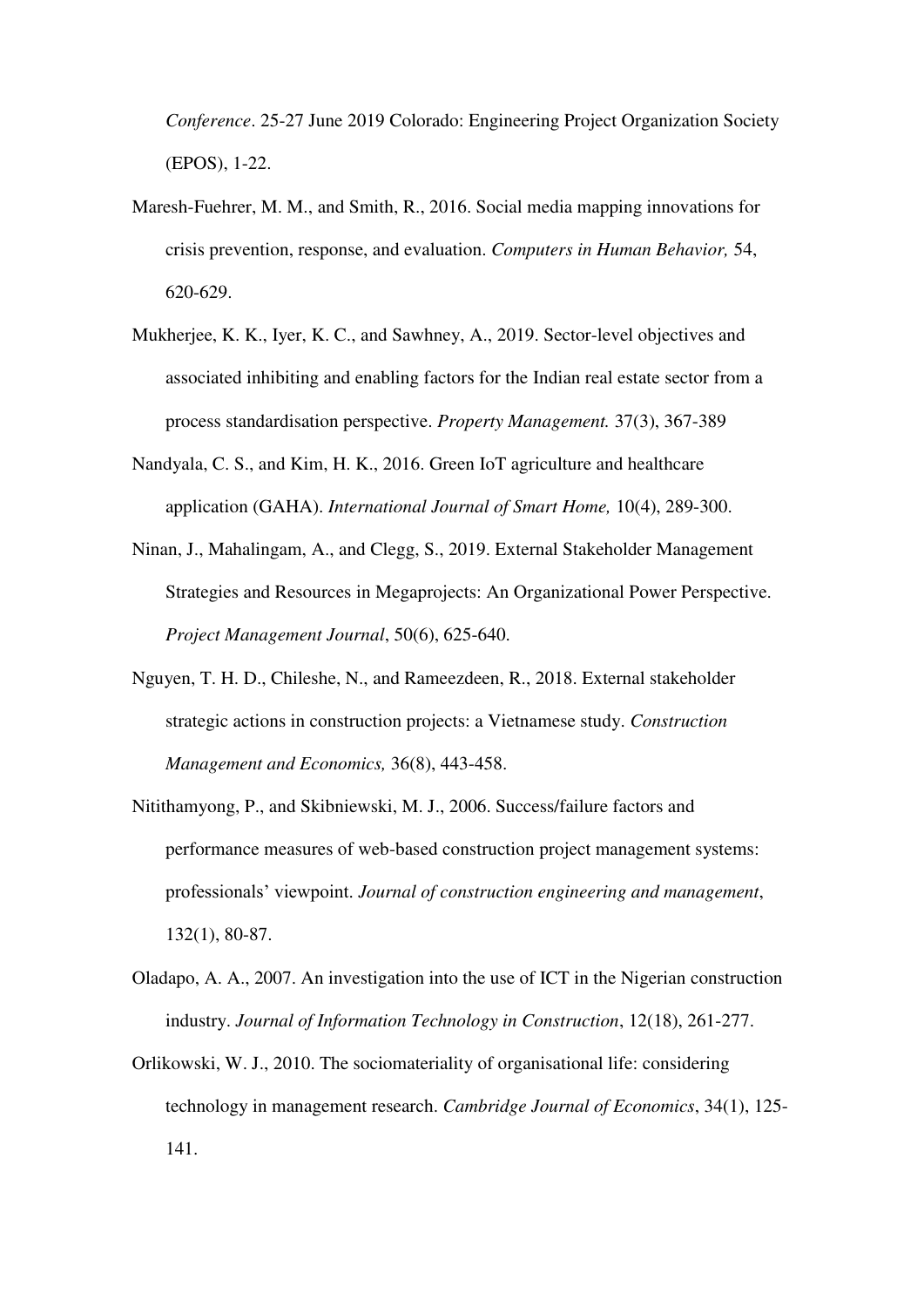*Conference*. 25-27 June 2019 Colorado: Engineering Project Organization Society (EPOS), 1-22.

- Maresh-Fuehrer, M. M., and Smith, R., 2016. Social media mapping innovations for crisis prevention, response, and evaluation. *Computers in Human Behavior,* 54, 620-629.
- Mukherjee, K. K., Iyer, K. C., and Sawhney, A., 2019. Sector-level objectives and associated inhibiting and enabling factors for the Indian real estate sector from a process standardisation perspective. *Property Management.* 37(3), 367-389
- Nandyala, C. S., and Kim, H. K., 2016. Green IoT agriculture and healthcare application (GAHA). *International Journal of Smart Home,* 10(4), 289-300.
- Ninan, J., Mahalingam, A., and Clegg, S., 2019. External Stakeholder Management Strategies and Resources in Megaprojects: An Organizational Power Perspective. *Project Management Journal*, 50(6), 625-640.
- Nguyen, T. H. D., Chileshe, N., and Rameezdeen, R., 2018. External stakeholder strategic actions in construction projects: a Vietnamese study. *Construction Management and Economics,* 36(8), 443-458.
- Nitithamyong, P., and Skibniewski, M. J., 2006. Success/failure factors and performance measures of web-based construction project management systems: professionals' viewpoint. *Journal of construction engineering and management*, 132(1), 80-87.
- Oladapo, A. A., 2007. An investigation into the use of ICT in the Nigerian construction industry. *Journal of Information Technology in Construction*, 12(18), 261-277.
- Orlikowski, W. J., 2010. The sociomateriality of organisational life: considering technology in management research. *Cambridge Journal of Economics*, 34(1), 125- 141.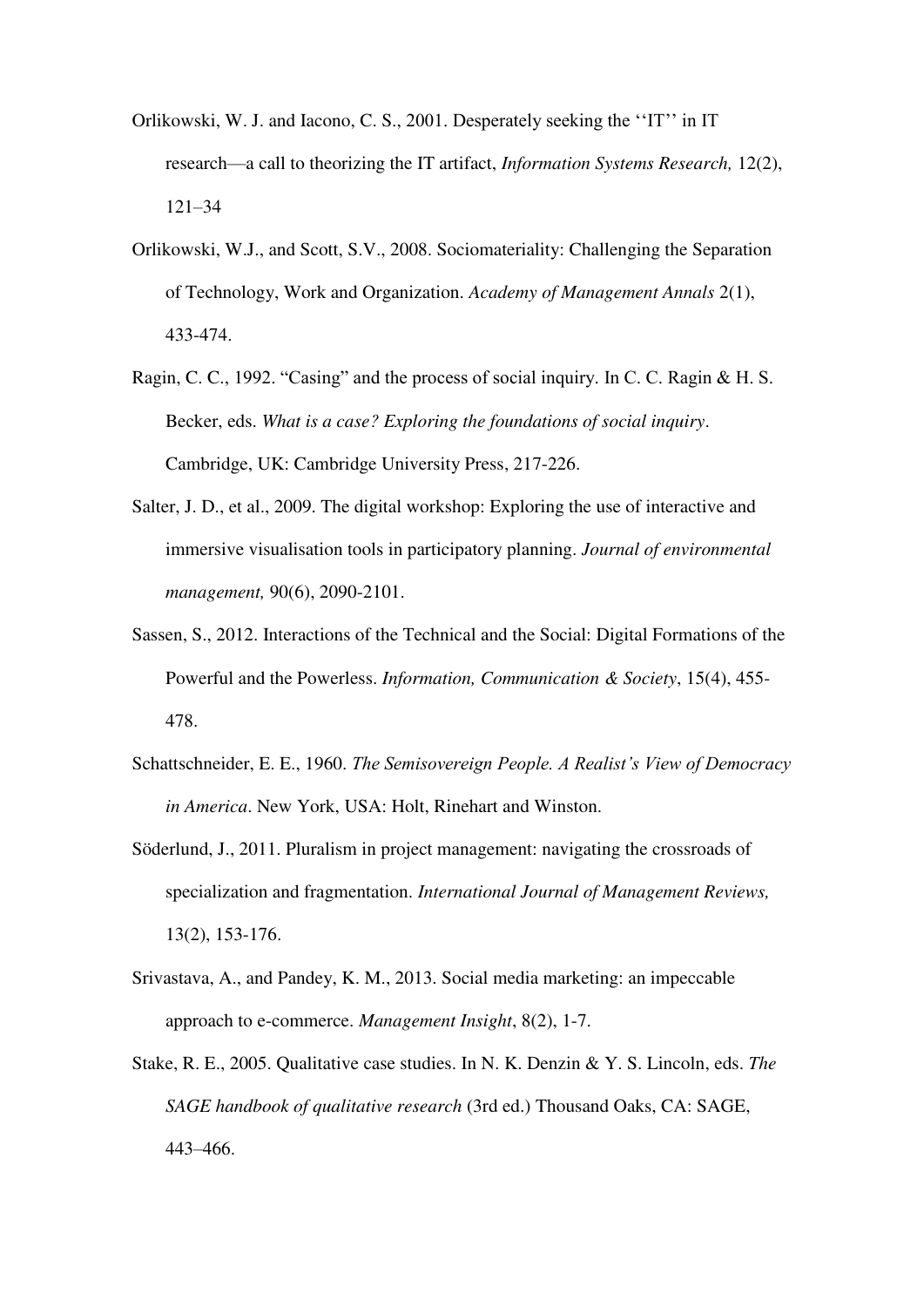- Orlikowski, W. J. and Iacono, C. S., 2001. Desperately seeking the ''IT'' in IT research—a call to theorizing the IT artifact, *Information Systems Research,* 12(2), 121–34
- Orlikowski, W.J., and Scott, S.V., 2008. Sociomateriality: Challenging the Separation of Technology, Work and Organization. *Academy of Management Annals* 2(1), 433-474.
- Ragin, C. C., 1992. "Casing" and the process of social inquiry. In C. C. Ragin & H. S. Becker, eds. *What is a case? Exploring the foundations of social inquiry*. Cambridge, UK: Cambridge University Press, 217-226.
- Salter, J. D., et al., 2009. The digital workshop: Exploring the use of interactive and immersive visualisation tools in participatory planning. *Journal of environmental management,* 90(6), 2090-2101.
- Sassen, S., 2012. Interactions of the Technical and the Social: Digital Formations of the Powerful and the Powerless. *Information, Communication & Society*, 15(4), 455- 478.
- Schattschneider, E. E., 1960. *The Semisovereign People. A Realist's View of Democracy in America*. New York, USA: Holt, Rinehart and Winston.
- Söderlund, J., 2011. Pluralism in project management: navigating the crossroads of specialization and fragmentation. *International Journal of Management Reviews,*  13(2), 153-176.
- Srivastava, A., and Pandey, K. M., 2013. Social media marketing: an impeccable approach to e-commerce. *Management Insight*, 8(2), 1-7.
- Stake, R. E., 2005. Qualitative case studies. In N. K. Denzin & Y. S. Lincoln, eds. *The SAGE handbook of qualitative research* (3rd ed.) Thousand Oaks, CA: SAGE, 443–466.